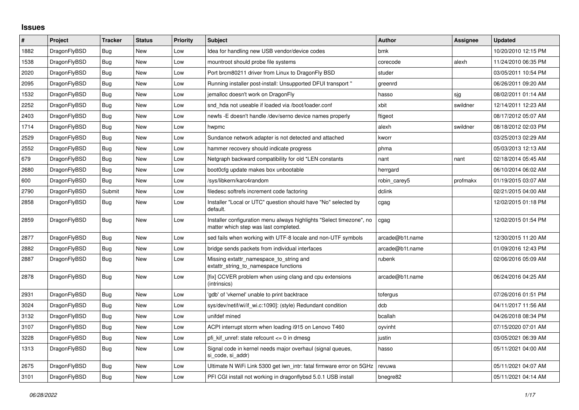## **Issues**

| #    | Project      | Tracker    | <b>Status</b> | <b>Priority</b> | <b>Subject</b>                                                                                                | <b>Author</b>   | Assignee | <b>Updated</b>      |
|------|--------------|------------|---------------|-----------------|---------------------------------------------------------------------------------------------------------------|-----------------|----------|---------------------|
| 1882 | DragonFlyBSD | Bug        | <b>New</b>    | Low             | Idea for handling new USB vendor/device codes                                                                 | bmk             |          | 10/20/2010 12:15 PM |
| 1538 | DragonFlyBSD | Bug        | <b>New</b>    | Low             | mountroot should probe file systems                                                                           | corecode        | alexh    | 11/24/2010 06:35 PM |
| 2020 | DragonFlyBSD | Bug        | <b>New</b>    | Low             | Port brcm80211 driver from Linux to DragonFly BSD                                                             | studer          |          | 03/05/2011 10:54 PM |
| 2095 | DragonFlyBSD | <b>Bug</b> | New           | Low             | Running installer post-install: Unsupported DFUI transport "                                                  | greenrd         |          | 06/26/2011 09:20 AM |
| 1532 | DragonFlyBSD | <b>Bug</b> | <b>New</b>    | Low             | jemalloc doesn't work on DragonFly                                                                            | hasso           | sjg      | 08/02/2011 01:14 AM |
| 2252 | DragonFlyBSD | Bug        | New           | Low             | snd hda not useable if loaded via /boot/loader.conf                                                           | xbit            | swildner | 12/14/2011 12:23 AM |
| 2403 | DragonFlyBSD | Bug        | New           | Low             | newfs - E doesn't handle / dev/serno device names properly                                                    | ftigeot         |          | 08/17/2012 05:07 AM |
| 1714 | DragonFlyBSD | Bug        | New           | Low             | hwpmc                                                                                                         | alexh           | swildner | 08/18/2012 02:03 PM |
| 2529 | DragonFlyBSD | Bug        | New           | Low             | Sundance network adapter is not detected and attached                                                         | kworr           |          | 03/25/2013 02:29 AM |
| 2552 | DragonFlyBSD | <b>Bug</b> | New           | Low             | hammer recovery should indicate progress                                                                      | phma            |          | 05/03/2013 12:13 AM |
| 679  | DragonFlyBSD | Bug        | New           | Low             | Netgraph backward compatibility for old *LEN constants                                                        | nant            | nant     | 02/18/2014 05:45 AM |
| 2680 | DragonFlyBSD | Bug        | <b>New</b>    | Low             | boot0cfg update makes box unbootable                                                                          | herrgard        |          | 06/10/2014 06:02 AM |
| 600  | DragonFlyBSD | Bug        | New           | Low             | /sys/libkern/karc4random                                                                                      | robin_carey5    | profmakx | 01/19/2015 03:07 AM |
| 2790 | DragonFlyBSD | Submit     | New           | Low             | filedesc softrefs increment code factoring                                                                    | dclink          |          | 02/21/2015 04:00 AM |
| 2858 | DragonFlyBSD | Bug        | New           | Low             | Installer "Local or UTC" question should have "No" selected by<br>default.                                    | cgag            |          | 12/02/2015 01:18 PM |
| 2859 | DragonFlyBSD | Bug        | New           | Low             | Installer configuration menu always highlights "Select timezone", no<br>matter which step was last completed. | cgag            |          | 12/02/2015 01:54 PM |
| 2877 | DragonFlyBSD | Bug        | New           | Low             | sed fails when working with UTF-8 locale and non-UTF symbols                                                  | arcade@b1t.name |          | 12/30/2015 11:20 AM |
| 2882 | DragonFlyBSD | Bug        | New           | Low             | bridge sends packets from individual interfaces                                                               | arcade@b1t.name |          | 01/09/2016 12:43 PM |
| 2887 | DragonFlyBSD | Bug        | New           | Low             | Missing extattr_namespace_to_string and<br>extattr_string_to_namespace functions                              | rubenk          |          | 02/06/2016 05:09 AM |
| 2878 | DragonFlyBSD | <b>Bug</b> | New           | Low             | [fix] CCVER problem when using clang and cpu extensions<br>(intrinsics)                                       | arcade@b1t.name |          | 06/24/2016 04:25 AM |
| 2931 | DragonFlyBSD | Bug        | <b>New</b>    | Low             | 'gdb' of 'vkernel' unable to print backtrace                                                                  | tofergus        |          | 07/26/2016 01:51 PM |
| 3024 | DragonFlyBSD | Bug        | New           | Low             | sys/dev/netif/wi/if wi.c:1090]: (style) Redundant condition                                                   | dcb             |          | 04/11/2017 11:56 AM |
| 3132 | DragonFlyBSD | <b>Bug</b> | <b>New</b>    | Low             | unifdef mined                                                                                                 | bcallah         |          | 04/26/2018 08:34 PM |
| 3107 | DragonFlyBSD | Bug        | New           | Low             | ACPI interrupt storm when loading i915 on Lenovo T460                                                         | oyvinht         |          | 07/15/2020 07:01 AM |
| 3228 | DragonFlyBSD | Bug        | New           | Low             | pfi kif unref: state refcount <= 0 in dmesg                                                                   | justin          |          | 03/05/2021 06:39 AM |
| 1313 | DragonFlyBSD | Bug        | New           | Low             | Signal code in kernel needs major overhaul (signal queues,<br>si_code, si_addr)                               | hasso           |          | 05/11/2021 04:00 AM |
| 2675 | DragonFlyBSD | <b>Bug</b> | New           | Low             | Ultimate N WiFi Link 5300 get iwn intr: fatal firmware error on 5GHz                                          | revuwa          |          | 05/11/2021 04:07 AM |
| 3101 | DragonFlyBSD | <b>Bug</b> | New           | Low             | PFI CGI install not working in dragonflybsd 5.0.1 USB install                                                 | bnegre82        |          | 05/11/2021 04:14 AM |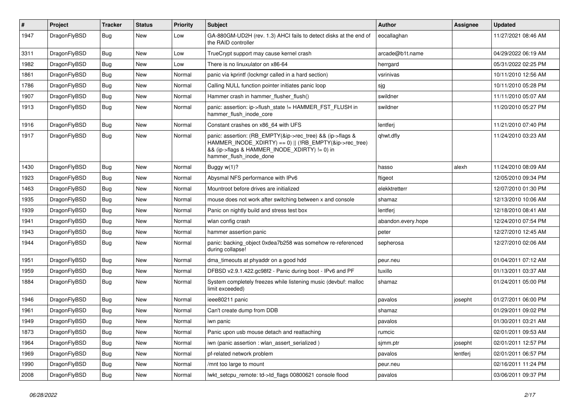| $\vert$ # | Project      | <b>Tracker</b> | <b>Status</b> | <b>Priority</b> | <b>Subject</b>                                                                                                                                                                                    | Author             | Assignee | <b>Updated</b>      |
|-----------|--------------|----------------|---------------|-----------------|---------------------------------------------------------------------------------------------------------------------------------------------------------------------------------------------------|--------------------|----------|---------------------|
| 1947      | DragonFlyBSD | Bug            | New           | Low             | GA-880GM-UD2H (rev. 1.3) AHCI fails to detect disks at the end of<br>the RAID controller                                                                                                          | eocallaghan        |          | 11/27/2021 08:46 AM |
| 3311      | DragonFlyBSD | <b>Bug</b>     | <b>New</b>    | Low             | TrueCrypt support may cause kernel crash                                                                                                                                                          | arcade@b1t.name    |          | 04/29/2022 06:19 AM |
| 1982      | DragonFlyBSD | Bug            | New           | Low             | There is no linuxulator on x86-64                                                                                                                                                                 | herrgard           |          | 05/31/2022 02:25 PM |
| 1861      | DragonFlyBSD | <b>Bug</b>     | <b>New</b>    | Normal          | panic via kprintf (lockmgr called in a hard section)                                                                                                                                              | vsrinivas          |          | 10/11/2010 12:56 AM |
| 1786      | DragonFlyBSD | <b>Bug</b>     | New           | Normal          | Calling NULL function pointer initiates panic loop                                                                                                                                                | sjg                |          | 10/11/2010 05:28 PM |
| 1907      | DragonFlyBSD | Bug            | <b>New</b>    | Normal          | Hammer crash in hammer flusher flush()                                                                                                                                                            | swildner           |          | 11/11/2010 05:07 AM |
| 1913      | DragonFlyBSD | Bug            | New           | Normal          | panic: assertion: ip->flush_state != HAMMER_FST_FLUSH in<br>hammer_flush_inode_core                                                                                                               | swildner           |          | 11/20/2010 05:27 PM |
| 1916      | DragonFlyBSD | Bug            | <b>New</b>    | Normal          | Constant crashes on x86_64 with UFS                                                                                                                                                               | lentferj           |          | 11/21/2010 07:40 PM |
| 1917      | DragonFlyBSD | Bug            | New           | Normal          | panic: assertion: (RB_EMPTY(&ip->rec_tree) && (ip->flags &<br>HAMMER_INODE_XDIRTY) == 0)    (!RB_EMPTY(&ip->rec_tree)<br>&& (ip->flags & HAMMER_INODE_XDIRTY) != 0) in<br>hammer_flush_inode_done | qhwt.dfly          |          | 11/24/2010 03:23 AM |
| 1430      | DragonFlyBSD | Bug            | New           | Normal          | Buggy w(1)?                                                                                                                                                                                       | hasso              | alexh    | 11/24/2010 08:09 AM |
| 1923      | DragonFlyBSD | Bug            | <b>New</b>    | Normal          | Abysmal NFS performance with IPv6                                                                                                                                                                 | ftigeot            |          | 12/05/2010 09:34 PM |
| 1463      | DragonFlyBSD | <b>Bug</b>     | New           | Normal          | Mountroot before drives are initialized                                                                                                                                                           | elekktretterr      |          | 12/07/2010 01:30 PM |
| 1935      | DragonFlyBSD | Bug            | <b>New</b>    | Normal          | mouse does not work after switching between x and console                                                                                                                                         | shamaz             |          | 12/13/2010 10:06 AM |
| 1939      | DragonFlyBSD | <b>Bug</b>     | New           | Normal          | Panic on nightly build and stress test box                                                                                                                                                        | lentferj           |          | 12/18/2010 08:41 AM |
| 1941      | DragonFlyBSD | Bug            | New           | Normal          | wlan config crash                                                                                                                                                                                 | abandon.every.hope |          | 12/24/2010 07:54 PM |
| 1943      | DragonFlyBSD | Bug            | New           | Normal          | hammer assertion panic                                                                                                                                                                            | peter              |          | 12/27/2010 12:45 AM |
| 1944      | DragonFlyBSD | <b>Bug</b>     | New           | Normal          | panic: backing object 0xdea7b258 was somehow re-referenced<br>during collapse!                                                                                                                    | sepherosa          |          | 12/27/2010 02:06 AM |
| 1951      | DragonFlyBSD | <b>Bug</b>     | <b>New</b>    | Normal          | dma timeouts at phyaddr on a good hdd                                                                                                                                                             | peur.neu           |          | 01/04/2011 07:12 AM |
| 1959      | DragonFlyBSD | <b>Bug</b>     | New           | Normal          | DFBSD v2.9.1.422.gc98f2 - Panic during boot - IPv6 and PF                                                                                                                                         | tuxillo            |          | 01/13/2011 03:37 AM |
| 1884      | DragonFlyBSD | Bug            | New           | Normal          | System completely freezes while listening music (devbuf: malloc<br>limit exceeded)                                                                                                                | shamaz             |          | 01/24/2011 05:00 PM |
| 1946      | DragonFlyBSD | Bug            | <b>New</b>    | Normal          | ieee80211 panic                                                                                                                                                                                   | pavalos            | josepht  | 01/27/2011 06:00 PM |
| 1961      | DragonFlyBSD | <b>Bug</b>     | <b>New</b>    | Normal          | Can't create dump from DDB                                                                                                                                                                        | shamaz             |          | 01/29/2011 09:02 PM |
| 1949      | DragonFlyBSD | <b>Bug</b>     | New           | Normal          | iwn panic                                                                                                                                                                                         | pavalos            |          | 01/30/2011 03:21 AM |
| 1873      | DragonFlyBSD | Bug            | New           | Normal          | Panic upon usb mouse detach and reattaching                                                                                                                                                       | rumcic             |          | 02/01/2011 09:53 AM |
| 1964      | DragonFlyBSD | <b>Bug</b>     | New           | Normal          | iwn (panic assertion : wlan_assert_serialized)                                                                                                                                                    | sjmm.ptr           | josepht  | 02/01/2011 12:57 PM |
| 1969      | DragonFlyBSD | Bug            | New           | Normal          | pf-related network problem                                                                                                                                                                        | pavalos            | lentferj | 02/01/2011 06:57 PM |
| 1990      | DragonFlyBSD | <b>Bug</b>     | New           | Normal          | /mnt too large to mount                                                                                                                                                                           | peur.neu           |          | 02/16/2011 11:24 PM |
| 2008      | DragonFlyBSD | <b>Bug</b>     | New           | Normal          | lwkt setcpu remote: td->td flags 00800621 console flood                                                                                                                                           | pavalos            |          | 03/06/2011 09:37 PM |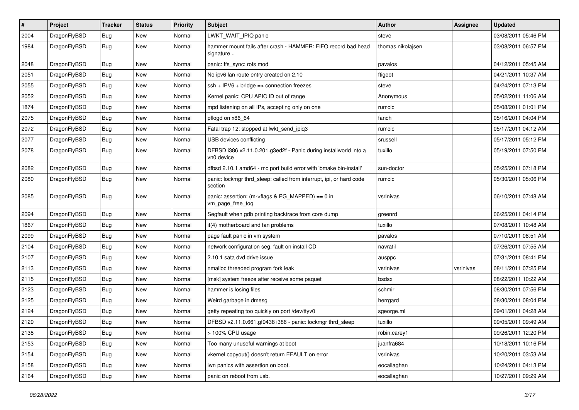| $\pmb{\#}$ | Project      | <b>Tracker</b> | <b>Status</b> | <b>Priority</b> | <b>Subject</b>                                                                 | Author            | Assignee  | <b>Updated</b>      |
|------------|--------------|----------------|---------------|-----------------|--------------------------------------------------------------------------------|-------------------|-----------|---------------------|
| 2004       | DragonFlyBSD | Bug            | New           | Normal          | LWKT_WAIT_IPIQ panic                                                           | steve             |           | 03/08/2011 05:46 PM |
| 1984       | DragonFlyBSD | Bug            | New           | Normal          | hammer mount fails after crash - HAMMER: FIFO record bad head<br>signature     | thomas.nikolajsen |           | 03/08/2011 06:57 PM |
| 2048       | DragonFlyBSD | Bug            | <b>New</b>    | Normal          | panic: ffs_sync: rofs mod                                                      | pavalos           |           | 04/12/2011 05:45 AM |
| 2051       | DragonFlyBSD | <b>Bug</b>     | <b>New</b>    | Normal          | No ipv6 lan route entry created on 2.10                                        | ftigeot           |           | 04/21/2011 10:37 AM |
| 2055       | DragonFlyBSD | <b>Bug</b>     | <b>New</b>    | Normal          | $ssh + IPV6 + bridge \Rightarrow connection freezes$                           | steve             |           | 04/24/2011 07:13 PM |
| 2052       | DragonFlyBSD | Bug            | <b>New</b>    | Normal          | Kernel panic: CPU APIC ID out of range                                         | Anonymous         |           | 05/02/2011 11:06 AM |
| 1874       | DragonFlyBSD | Bug            | <b>New</b>    | Normal          | mpd listening on all IPs, accepting only on one                                | rumcic            |           | 05/08/2011 01:01 PM |
| 2075       | DragonFlyBSD | Bug            | New           | Normal          | pflogd on x86_64                                                               | fanch             |           | 05/16/2011 04:04 PM |
| 2072       | DragonFlyBSD | Bug            | <b>New</b>    | Normal          | Fatal trap 12: stopped at lwkt_send_ipiq3                                      | rumcic            |           | 05/17/2011 04:12 AM |
| 2077       | DragonFlyBSD | <b>Bug</b>     | New           | Normal          | USB devices conflicting                                                        | srussell          |           | 05/17/2011 05:12 PM |
| 2078       | DragonFlyBSD | Bug            | <b>New</b>    | Normal          | DFBSD i386 v2.11.0.201.g3ed2f - Panic during installworld into a<br>vn0 device | tuxillo           |           | 05/19/2011 07:50 PM |
| 2082       | DragonFlyBSD | <b>Bug</b>     | <b>New</b>    | Normal          | dfbsd 2.10.1 amd64 - mc port build error with 'bmake bin-install'              | sun-doctor        |           | 05/25/2011 07:18 PM |
| 2080       | DragonFlyBSD | Bug            | New           | Normal          | panic: lockmgr thrd_sleep: called from interrupt, ipi, or hard code<br>section | rumcic            |           | 05/30/2011 05:06 PM |
| 2085       | DragonFlyBSD | Bug            | <b>New</b>    | Normal          | panic: assertion: (m->flags & PG_MAPPED) == 0 in<br>vm_page_free_toq           | vsrinivas         |           | 06/10/2011 07:48 AM |
| 2094       | DragonFlyBSD | <b>Bug</b>     | <b>New</b>    | Normal          | Segfault when gdb printing backtrace from core dump                            | greenrd           |           | 06/25/2011 04:14 PM |
| 1867       | DragonFlyBSD | <b>Bug</b>     | <b>New</b>    | Normal          | it(4) motherboard and fan problems                                             | tuxillo           |           | 07/08/2011 10:48 AM |
| 2099       | DragonFlyBSD | <b>Bug</b>     | New           | Normal          | page fault panic in vm system                                                  | pavalos           |           | 07/10/2011 08:51 AM |
| 2104       | DragonFlyBSD | <b>Bug</b>     | <b>New</b>    | Normal          | network configuration seg. fault on install CD                                 | navratil          |           | 07/26/2011 07:55 AM |
| 2107       | DragonFlyBSD | Bug            | New           | Normal          | 2.10.1 sata dvd drive issue                                                    | ausppc            |           | 07/31/2011 08:41 PM |
| 2113       | DragonFlyBSD | <b>Bug</b>     | New           | Normal          | nmalloc threaded program fork leak                                             | vsrinivas         | vsrinivas | 08/11/2011 07:25 PM |
| 2115       | DragonFlyBSD | Bug            | New           | Normal          | [msk] system freeze after receive some paquet                                  | bsdsx             |           | 08/22/2011 10:22 AM |
| 2123       | DragonFlyBSD | <b>Bug</b>     | <b>New</b>    | Normal          | hammer is losing files                                                         | schmir            |           | 08/30/2011 07:56 PM |
| 2125       | DragonFlyBSD | <b>Bug</b>     | New           | Normal          | Weird garbage in dmesg                                                         | herrgard          |           | 08/30/2011 08:04 PM |
| 2124       | DragonFlyBSD | Bug            | New           | Normal          | getty repeating too quickly on port /dev/ttyv0                                 | sgeorge.ml        |           | 09/01/2011 04:28 AM |
| 2129       | DragonFlyBSD | <b>Bug</b>     | New           | Normal          | DFBSD v2.11.0.661.gf9438 i386 - panic: lockmgr thrd_sleep                      | tuxillo           |           | 09/05/2011 09:49 AM |
| 2138       | DragonFlyBSD | <b>Bug</b>     | New           | Normal          | > 100% CPU usage                                                               | robin.carey1      |           | 09/26/2011 12:20 PM |
| 2153       | DragonFlyBSD | <b>Bug</b>     | New           | Normal          | Too many unuseful warnings at boot                                             | juanfra684        |           | 10/18/2011 10:16 PM |
| 2154       | DragonFlyBSD | <b>Bug</b>     | New           | Normal          | vkernel copyout() doesn't return EFAULT on error                               | vsrinivas         |           | 10/20/2011 03:53 AM |
| 2158       | DragonFlyBSD | <b>Bug</b>     | New           | Normal          | iwn panics with assertion on boot.                                             | eocallaghan       |           | 10/24/2011 04:13 PM |
| 2164       | DragonFlyBSD | <b>Bug</b>     | New           | Normal          | panic on reboot from usb.                                                      | eocallaghan       |           | 10/27/2011 09:29 AM |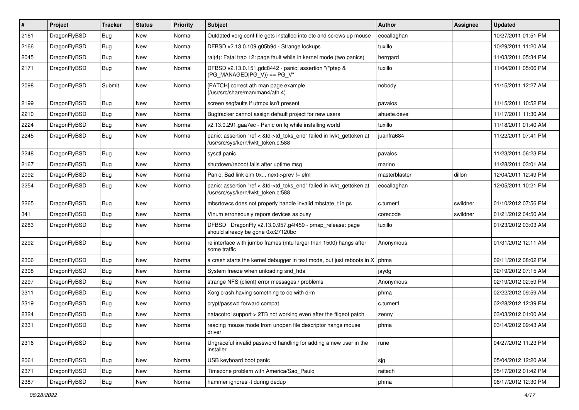| $\vert$ # | Project      | <b>Tracker</b> | <b>Status</b> | <b>Priority</b> | <b>Subject</b>                                                                                             | Author        | Assignee | <b>Updated</b>      |
|-----------|--------------|----------------|---------------|-----------------|------------------------------------------------------------------------------------------------------------|---------------|----------|---------------------|
| 2161      | DragonFlyBSD | <b>Bug</b>     | New           | Normal          | Outdated xorg.conf file gets installed into etc and screws up mouse                                        | eocallaghan   |          | 10/27/2011 01:51 PM |
| 2166      | DragonFlyBSD | Bug            | <b>New</b>    | Normal          | DFBSD v2.13.0.109.g05b9d - Strange lockups                                                                 | tuxillo       |          | 10/29/2011 11:20 AM |
| 2045      | DragonFlyBSD | <b>Bug</b>     | <b>New</b>    | Normal          | ral(4): Fatal trap 12: page fault while in kernel mode (two panics)                                        | herrgard      |          | 11/03/2011 05:34 PM |
| 2171      | DragonFlyBSD | Bug            | New           | Normal          | DFBSD v2.13.0.151.gdc8442 - panic: assertion "(*ptep &<br>$(PG_MANAGED PG_V)$ == PG_V"                     | tuxillo       |          | 11/04/2011 05:06 PM |
| 2098      | DragonFlyBSD | Submit         | <b>New</b>    | Normal          | [PATCH] correct ath man page example<br>(/usr/src/share/man/man4/ath.4)                                    | nobody        |          | 11/15/2011 12:27 AM |
| 2199      | DragonFlyBSD | <b>Bug</b>     | <b>New</b>    | Normal          | screen segfaults if utmpx isn't present                                                                    | pavalos       |          | 11/15/2011 10:52 PM |
| 2210      | DragonFlyBSD | <b>Bug</b>     | New           | Normal          | Bugtracker cannot assign default project for new users                                                     | ahuete.devel  |          | 11/17/2011 11:30 AM |
| 2224      | DragonFlyBSD | Bug            | <b>New</b>    | Normal          | v2.13.0.291.gaa7ec - Panic on fq while installing world                                                    | tuxillo       |          | 11/18/2011 01:40 AM |
| 2245      | DragonFlyBSD | Bug            | New           | Normal          | panic: assertion "ref < &td->td_toks_end" failed in lwkt_gettoken at<br>/usr/src/sys/kern/lwkt_token.c:588 | juanfra684    |          | 11/22/2011 07:41 PM |
| 2248      | DragonFlyBSD | <b>Bug</b>     | <b>New</b>    | Normal          | sysctl panic                                                                                               | pavalos       |          | 11/23/2011 06:23 PM |
| 2167      | DragonFlyBSD | Bug            | <b>New</b>    | Normal          | shutdown/reboot fails after uptime msg                                                                     | marino        |          | 11/28/2011 03:01 AM |
| 2092      | DragonFlyBSD | Bug            | New           | Normal          | Panic: Bad link elm 0x next->prev != elm                                                                   | masterblaster | dillon   | 12/04/2011 12:49 PM |
| 2254      | DragonFlyBSD | Bug            | New           | Normal          | panic: assertion "ref < &td->td_toks_end" failed in lwkt_gettoken at<br>/usr/src/sys/kern/lwkt_token.c:588 | eocallaghan   |          | 12/05/2011 10:21 PM |
| 2265      | DragonFlyBSD | Bug            | <b>New</b>    | Normal          | mbsrtowcs does not properly handle invalid mbstate_t in ps                                                 | c.turner1     | swildner | 01/10/2012 07:56 PM |
| 341       | DragonFlyBSD | <b>Bug</b>     | New           | Normal          | Vinum erroneously repors devices as busy                                                                   | corecode      | swildner | 01/21/2012 04:50 AM |
| 2283      | DragonFlyBSD | Bug            | <b>New</b>    | Normal          | DFBSD DragonFly v2.13.0.957.g4f459 - pmap_release: page<br>should already be gone 0xc27120bc               | tuxillo       |          | 01/23/2012 03:03 AM |
| 2292      | DragonFlyBSD | <b>Bug</b>     | <b>New</b>    | Normal          | re interface with jumbo frames (mtu larger than 1500) hangs after<br>some traffic                          | Anonymous     |          | 01/31/2012 12:11 AM |
| 2306      | DragonFlyBSD | <b>Bug</b>     | <b>New</b>    | Normal          | a crash starts the kernel debugger in text mode, but just reboots in X                                     | phma          |          | 02/11/2012 08:02 PM |
| 2308      | DragonFlyBSD | <b>Bug</b>     | New           | Normal          | System freeze when unloading snd hda                                                                       | jaydg         |          | 02/19/2012 07:15 AM |
| 2297      | DragonFlyBSD | Bug            | <b>New</b>    | Normal          | strange NFS (client) error messages / problems                                                             | Anonymous     |          | 02/19/2012 02:59 PM |
| 2311      | DragonFlyBSD | <b>Bug</b>     | New           | Normal          | Xorg crash having something to do with drm                                                                 | phma          |          | 02/22/2012 09:59 AM |
| 2319      | DragonFlyBSD | Bug            | <b>New</b>    | Normal          | crypt/passwd forward compat                                                                                | c.turner1     |          | 02/28/2012 12:39 PM |
| 2324      | DragonFlyBSD | <b>Bug</b>     | <b>New</b>    | Normal          | natacotrol support > 2TB not working even after the ftigeot patch                                          | zenny         |          | 03/03/2012 01:00 AM |
| 2331      | DragonFlvBSD | Bug            | New           | Normal          | reading mouse mode from unopen file descriptor hangs mouse<br>driver                                       | phma          |          | 03/14/2012 09:43 AM |
| 2316      | DragonFlyBSD | <b>Bug</b>     | New           | Normal          | Ungraceful invalid password handling for adding a new user in the<br>installer                             | rune          |          | 04/27/2012 11:23 PM |
| 2061      | DragonFlyBSD | <b>Bug</b>     | New           | Normal          | USB keyboard boot panic                                                                                    | sjg           |          | 05/04/2012 12:20 AM |
| 2371      | DragonFlyBSD | <b>Bug</b>     | New           | Normal          | Timezone problem with America/Sao_Paulo                                                                    | raitech       |          | 05/17/2012 01:42 PM |
| 2387      | DragonFlyBSD | Bug            | New           | Normal          | hammer ignores -t during dedup                                                                             | phma          |          | 06/17/2012 12:30 PM |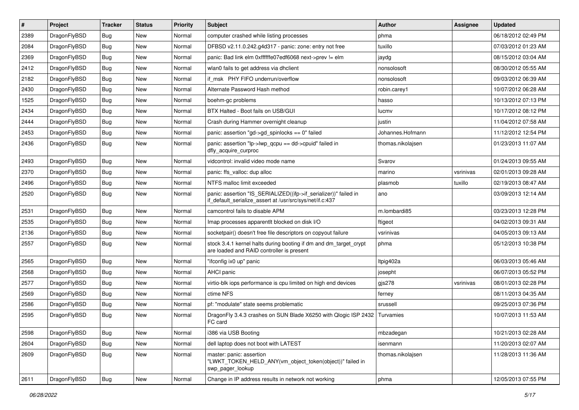| #    | Project      | <b>Tracker</b> | <b>Status</b> | <b>Priority</b> | <b>Subject</b>                                                                                                               | <b>Author</b>     | Assignee  | <b>Updated</b>      |
|------|--------------|----------------|---------------|-----------------|------------------------------------------------------------------------------------------------------------------------------|-------------------|-----------|---------------------|
| 2389 | DragonFlyBSD | Bug            | New           | Normal          | computer crashed while listing processes                                                                                     | phma              |           | 06/18/2012 02:49 PM |
| 2084 | DragonFlyBSD | <b>Bug</b>     | New           | Normal          | DFBSD v2.11.0.242.g4d317 - panic: zone: entry not free                                                                       | tuxillo           |           | 07/03/2012 01:23 AM |
| 2369 | DragonFlyBSD | <b>Bug</b>     | New           | Normal          | panic: Bad link elm 0xffffffe07edf6068 next->prev != elm                                                                     | jaydg             |           | 08/15/2012 03:04 AM |
| 2412 | DragonFlyBSD | <b>Bug</b>     | New           | Normal          | wlan0 fails to get address via dhclient                                                                                      | nonsolosoft       |           | 08/30/2012 05:55 AM |
| 2182 | DragonFlyBSD | <b>Bug</b>     | <b>New</b>    | Normal          | if msk PHY FIFO underrun/overflow                                                                                            | nonsolosoft       |           | 09/03/2012 06:39 AM |
| 2430 | DragonFlyBSD | <b>Bug</b>     | <b>New</b>    | Normal          | Alternate Password Hash method                                                                                               | robin.carey1      |           | 10/07/2012 06:28 AM |
| 1525 | DragonFlyBSD | <b>Bug</b>     | New           | Normal          | boehm-gc problems                                                                                                            | hasso             |           | 10/13/2012 07:13 PM |
| 2434 | DragonFlyBSD | <b>Bug</b>     | New           | Normal          | BTX Halted - Boot fails on USB/GUI                                                                                           | lucmv             |           | 10/17/2012 08:12 PM |
| 2444 | DragonFlyBSD | <b>Bug</b>     | New           | Normal          | Crash during Hammer overnight cleanup                                                                                        | justin            |           | 11/04/2012 07:58 AM |
| 2453 | DragonFlyBSD | <b>Bug</b>     | <b>New</b>    | Normal          | panic: assertion "gd->gd_spinlocks == $0$ " failed                                                                           | Johannes.Hofmann  |           | 11/12/2012 12:54 PM |
| 2436 | DragonFlyBSD | <b>Bug</b>     | New           | Normal          | panic: assertion " $lp$ -> $lwp$ qcpu == dd->cpuid" failed in<br>dfly_acquire_curproc                                        | thomas.nikolajsen |           | 01/23/2013 11:07 AM |
| 2493 | DragonFlyBSD | <b>Bug</b>     | <b>New</b>    | Normal          | vidcontrol: invalid video mode name                                                                                          | Svarov            |           | 01/24/2013 09:55 AM |
| 2370 | DragonFlyBSD | <b>Bug</b>     | <b>New</b>    | Normal          | panic: ffs_valloc: dup alloc                                                                                                 | marino            | vsrinivas | 02/01/2013 09:28 AM |
| 2496 | DragonFlyBSD | <b>Bug</b>     | New           | Normal          | NTFS malloc limit exceeded                                                                                                   | plasmob           | tuxillo   | 02/19/2013 08:47 AM |
| 2520 | DragonFlyBSD | <b>Bug</b>     | <b>New</b>    | Normal          | panic: assertion "IS_SERIALIZED((ifp->if_serializer))" failed in<br>if_default_serialize_assert at /usr/src/sys/net/if.c:437 | ano               |           | 03/09/2013 12:14 AM |
| 2531 | DragonFlyBSD | <b>Bug</b>     | <b>New</b>    | Normal          | camcontrol fails to disable APM                                                                                              | m.lombardi85      |           | 03/23/2013 12:28 PM |
| 2535 | DragonFlyBSD | <b>Bug</b>     | New           | Normal          | Imap processes apparentlt blocked on disk I/O                                                                                | ftigeot           |           | 04/02/2013 09:31 AM |
| 2136 | DragonFlyBSD | <b>Bug</b>     | New           | Normal          | socketpair() doesn't free file descriptors on copyout failure                                                                | vsrinivas         |           | 04/05/2013 09:13 AM |
| 2557 | DragonFlyBSD | <b>Bug</b>     | New           | Normal          | stock 3.4.1 kernel halts during booting if dm and dm_target_crypt<br>are loaded and RAID controller is present               | phma              |           | 05/12/2013 10:38 PM |
| 2565 | DragonFlyBSD | <b>Bug</b>     | <b>New</b>    | Normal          | "ifconfig ix0 up" panic                                                                                                      | ltpig402a         |           | 06/03/2013 05:46 AM |
| 2568 | DragonFlyBSD | <b>Bug</b>     | <b>New</b>    | Normal          | AHCI panic                                                                                                                   | josepht           |           | 06/07/2013 05:52 PM |
| 2577 | DragonFlyBSD | <b>Bug</b>     | New           | Normal          | virtio-blk iops performance is cpu limited on high end devices                                                               | gjs278            | vsrinivas | 08/01/2013 02:28 PM |
| 2569 | DragonFlyBSD | <b>Bug</b>     | <b>New</b>    | Normal          | ctime NFS                                                                                                                    | ferney            |           | 08/11/2013 04:35 AM |
| 2586 | DragonFlyBSD | <b>Bug</b>     | <b>New</b>    | Normal          | pf: "modulate" state seems problematic                                                                                       | srussell          |           | 09/25/2013 07:36 PM |
| 2595 | DragonFlyBSD | Bug            | New           | Normal          | DragonFly 3.4.3 crashes on SUN Blade X6250 with Qlogic ISP 2432<br>FC card                                                   | Turvamies         |           | 10/07/2013 11:53 AM |
| 2598 | DragonFlyBSD | <b>Bug</b>     | New           | Normal          | i386 via USB Booting                                                                                                         | mbzadegan         |           | 10/21/2013 02:28 AM |
| 2604 | DragonFlyBSD | <b>Bug</b>     | <b>New</b>    | Normal          | dell laptop does not boot with LATEST                                                                                        | isenmann          |           | 11/20/2013 02:07 AM |
| 2609 | DragonFlyBSD | Bug            | New           | Normal          | master: panic: assertion<br>"LWKT TOKEN HELD ANY(vm object token(object))" failed in<br>swp_pager_lookup                     | thomas.nikolajsen |           | 11/28/2013 11:36 AM |
| 2611 | DragonFlyBSD | <b>Bug</b>     | New           | Normal          | Change in IP address results in network not working                                                                          | phma              |           | 12/05/2013 07:55 PM |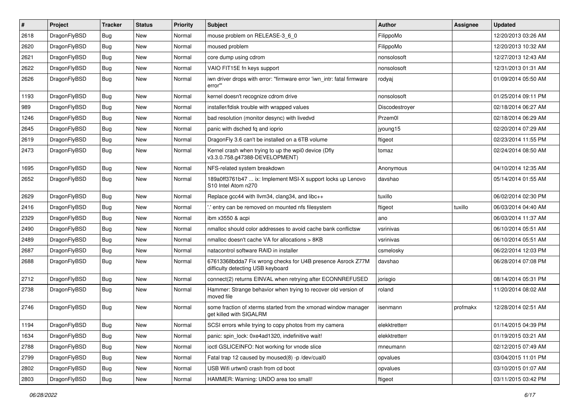| $\pmb{\#}$ | Project      | <b>Tracker</b> | <b>Status</b> | <b>Priority</b> | Subject                                                                                          | Author         | <b>Assignee</b> | <b>Updated</b>      |
|------------|--------------|----------------|---------------|-----------------|--------------------------------------------------------------------------------------------------|----------------|-----------------|---------------------|
| 2618       | DragonFlyBSD | Bug            | <b>New</b>    | Normal          | mouse problem on RELEASE-3_6_0                                                                   | FilippoMo      |                 | 12/20/2013 03:26 AM |
| 2620       | DragonFlyBSD | <b>Bug</b>     | <b>New</b>    | Normal          | moused problem                                                                                   | FilippoMo      |                 | 12/20/2013 10:32 AM |
| 2621       | DragonFlyBSD | <b>Bug</b>     | New           | Normal          | core dump using cdrom                                                                            | nonsolosoft    |                 | 12/27/2013 12:43 AM |
| 2622       | DragonFlyBSD | Bug            | <b>New</b>    | Normal          | VAIO FIT15E fn keys support                                                                      | nonsolosoft    |                 | 12/31/2013 01:31 AM |
| 2626       | DragonFlyBSD | Bug            | New           | Normal          | iwn driver drops with error: "firmware error 'iwn intr: fatal firmware<br>error""                | rodyaj         |                 | 01/09/2014 05:50 AM |
| 1193       | DragonFlyBSD | <b>Bug</b>     | New           | Normal          | kernel doesn't recognize cdrom drive                                                             | nonsolosoft    |                 | 01/25/2014 09:11 PM |
| 989        | DragonFlyBSD | <b>Bug</b>     | <b>New</b>    | Normal          | installer/fdisk trouble with wrapped values                                                      | Discodestroyer |                 | 02/18/2014 06:27 AM |
| 1246       | DragonFlyBSD | <b>Bug</b>     | <b>New</b>    | Normal          | bad resolution (monitor desync) with livedvd                                                     | Przem0l        |                 | 02/18/2014 06:29 AM |
| 2645       | DragonFlyBSD | Bug            | <b>New</b>    | Normal          | panic with dsched fq and ioprio                                                                  | jyoung15       |                 | 02/20/2014 07:29 AM |
| 2619       | DragonFlyBSD | <b>Bug</b>     | New           | Normal          | DragonFly 3.6 can't be installed on a 6TB volume                                                 | ftigeot        |                 | 02/23/2014 11:55 PM |
| 2473       | DragonFlyBSD | <b>Bug</b>     | <b>New</b>    | Normal          | Kernel crash when trying to up the wpi0 device (Dfly<br>v3.3.0.758.g47388-DEVELOPMENT)           | tomaz          |                 | 02/24/2014 08:50 AM |
| 1695       | DragonFlyBSD | <b>Bug</b>     | <b>New</b>    | Normal          | NFS-related system breakdown                                                                     | Anonymous      |                 | 04/10/2014 12:35 AM |
| 2652       | DragonFlyBSD | Bug            | New           | Normal          | 189a0ff3761b47  ix: Implement MSI-X support locks up Lenovo<br>S10 Intel Atom n270               | davshao        |                 | 05/14/2014 01:55 AM |
| 2629       | DragonFlyBSD | Bug            | <b>New</b>    | Normal          | Replace gcc44 with llvm34, clang34, and libc++                                                   | tuxillo        |                 | 06/02/2014 02:30 PM |
| 2416       | DragonFlyBSD | <b>Bug</b>     | <b>New</b>    | Normal          | ' entry can be removed on mounted nfs filesystem                                                 | ftigeot        | tuxillo         | 06/03/2014 04:40 AM |
| 2329       | DragonFlyBSD | <b>Bug</b>     | <b>New</b>    | Normal          | ibm x3550 & acpi                                                                                 | ano            |                 | 06/03/2014 11:37 AM |
| 2490       | DragonFlyBSD | <b>Bug</b>     | <b>New</b>    | Normal          | nmalloc should color addresses to avoid cache bank conflictsw                                    | vsrinivas      |                 | 06/10/2014 05:51 AM |
| 2489       | DragonFlyBSD | <b>Bug</b>     | <b>New</b>    | Normal          | nmalloc doesn't cache VA for allocations > 8KB                                                   | vsrinivas      |                 | 06/10/2014 05:51 AM |
| 2687       | DragonFlyBSD | Bug            | <b>New</b>    | Normal          | natacontrol software RAID in installer                                                           | csmelosky      |                 | 06/22/2014 12:03 PM |
| 2688       | DragonFlyBSD | Bug            | New           | Normal          | 67613368bdda7 Fix wrong checks for U4B presence Asrock Z77M<br>difficulty detecting USB keyboard | davshao        |                 | 06/28/2014 07:08 PM |
| 2712       | DragonFlyBSD | Bug            | <b>New</b>    | Normal          | connect(2) returns EINVAL when retrying after ECONNREFUSED                                       | jorisgio       |                 | 08/14/2014 05:31 PM |
| 2738       | DragonFlyBSD | Bug            | New           | Normal          | Hammer: Strange behavior when trying to recover old version of<br>moved file                     | roland         |                 | 11/20/2014 08:02 AM |
| 2746       | DragonFlyBSD | Bug            | <b>New</b>    | Normal          | some fraction of xterms started from the xmonad window manager<br>get killed with SIGALRM        | isenmann       | profmakx        | 12/28/2014 02:51 AM |
| 1194       | DragonFlyBSD | Bug            | New           | Normal          | SCSI errors while trying to copy photos from my camera                                           | elekktretterr  |                 | 01/14/2015 04:39 PM |
| 1634       | DragonFlyBSD | Bug            | New           | Normal          | panic: spin_lock: 0xe4ad1320, indefinitive wait!                                                 | elekktretterr  |                 | 01/19/2015 03:21 AM |
| 2788       | DragonFlyBSD | <b>Bug</b>     | New           | Normal          | ioctl GSLICEINFO: Not working for vnode slice                                                    | mneumann       |                 | 02/12/2015 07:49 AM |
| 2799       | DragonFlyBSD | <b>Bug</b>     | New           | Normal          | Fatal trap 12 caused by moused(8) -p /dev/cual0                                                  | opvalues       |                 | 03/04/2015 11:01 PM |
| 2802       | DragonFlyBSD | <b>Bug</b>     | New           | Normal          | USB Wifi urtwn0 crash from cd boot                                                               | opvalues       |                 | 03/10/2015 01:07 AM |
| 2803       | DragonFlyBSD | Bug            | New           | Normal          | HAMMER: Warning: UNDO area too small!                                                            | ftigeot        |                 | 03/11/2015 03:42 PM |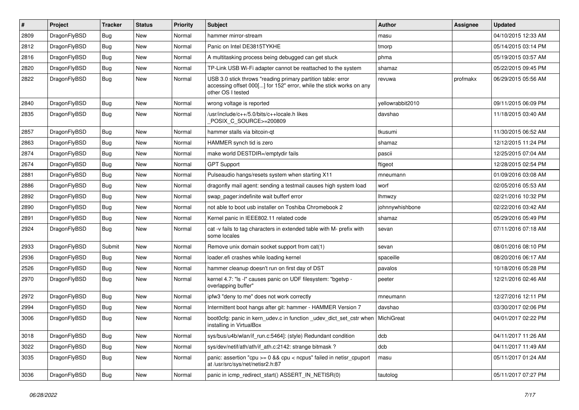| $\sharp$ | Project      | <b>Tracker</b> | <b>Status</b> | <b>Priority</b> | <b>Subject</b>                                                                                                                                           | Author           | Assignee | <b>Updated</b>      |
|----------|--------------|----------------|---------------|-----------------|----------------------------------------------------------------------------------------------------------------------------------------------------------|------------------|----------|---------------------|
| 2809     | DragonFlyBSD | Bug            | <b>New</b>    | Normal          | hammer mirror-stream                                                                                                                                     | masu             |          | 04/10/2015 12:33 AM |
| 2812     | DragonFlyBSD | <b>Bug</b>     | <b>New</b>    | Normal          | Panic on Intel DE3815TYKHE                                                                                                                               | tmorp            |          | 05/14/2015 03:14 PM |
| 2816     | DragonFlyBSD | Bug            | New           | Normal          | A multitasking process being debugged can get stuck                                                                                                      | phma             |          | 05/19/2015 03:57 AM |
| 2820     | DragonFlyBSD | Bug            | New           | Normal          | TP-Link USB Wi-Fi adapter cannot be reattached to the system                                                                                             | shamaz           |          | 05/22/2015 09:45 PM |
| 2822     | DragonFlyBSD | Bug            | <b>New</b>    | Normal          | USB 3.0 stick throws "reading primary partition table: error<br>accessing offset 000[] for 152" error, while the stick works on any<br>other OS I tested | revuwa           | profmakx | 06/29/2015 05:56 AM |
| 2840     | DragonFlyBSD | Bug            | New           | Normal          | wrong voltage is reported                                                                                                                                | yellowrabbit2010 |          | 09/11/2015 06:09 PM |
| 2835     | DragonFlyBSD | Bug            | New           | Normal          | /usr/include/c++/5.0/bits/c++locale.h likes<br>POSIX_C_SOURCE>=200809                                                                                    | davshao          |          | 11/18/2015 03:40 AM |
| 2857     | DragonFlyBSD | Bug            | New           | Normal          | hammer stalls via bitcoin-qt                                                                                                                             | tkusumi          |          | 11/30/2015 06:52 AM |
| 2863     | DragonFlyBSD | Bug            | New           | Normal          | HAMMER synch tid is zero                                                                                                                                 | shamaz           |          | 12/12/2015 11:24 PM |
| 2874     | DragonFlyBSD | Bug            | <b>New</b>    | Normal          | make world DESTDIR=/emptydir fails                                                                                                                       | pascii           |          | 12/25/2015 07:04 AM |
| 2674     | DragonFlyBSD | Bug            | <b>New</b>    | Normal          | <b>GPT Support</b>                                                                                                                                       | ftigeot          |          | 12/28/2015 02:54 PM |
| 2881     | DragonFlyBSD | <b>Bug</b>     | New           | Normal          | Pulseaudio hangs/resets system when starting X11                                                                                                         | mneumann         |          | 01/09/2016 03:08 AM |
| 2886     | DragonFlyBSD | <b>Bug</b>     | <b>New</b>    | Normal          | dragonfly mail agent: sending a testmail causes high system load                                                                                         | worf             |          | 02/05/2016 05:53 AM |
| 2892     | DragonFlyBSD | <b>Bug</b>     | New           | Normal          | swap pager:indefinite wait bufferf error                                                                                                                 | <b>Ihmwzy</b>    |          | 02/21/2016 10:32 PM |
| 2890     | DragonFlyBSD | <b>Bug</b>     | New           | Normal          | not able to boot usb installer on Toshiba Chromebook 2                                                                                                   | johnnywhishbone  |          | 02/22/2016 03:42 AM |
| 2891     | DragonFlyBSD | <b>Bug</b>     | New           | Normal          | Kernel panic in IEEE802.11 related code                                                                                                                  | shamaz           |          | 05/29/2016 05:49 PM |
| 2924     | DragonFlyBSD | <b>Bug</b>     | <b>New</b>    | Normal          | cat -v fails to tag characters in extended table with M- prefix with<br>some locales                                                                     | sevan            |          | 07/11/2016 07:18 AM |
| 2933     | DragonFlyBSD | Submit         | New           | Normal          | Remove unix domain socket support from cat(1)                                                                                                            | sevan            |          | 08/01/2016 08:10 PM |
| 2936     | DragonFlyBSD | <b>Bug</b>     | New           | Normal          | loader.efi crashes while loading kernel                                                                                                                  | spaceille        |          | 08/20/2016 06:17 AM |
| 2526     | DragonFlyBSD | <b>Bug</b>     | <b>New</b>    | Normal          | hammer cleanup doesn't run on first day of DST                                                                                                           | pavalos          |          | 10/18/2016 05:28 PM |
| 2970     | DragonFlyBSD | <b>Bug</b>     | New           | Normal          | kernel 4.7: "Is -I" causes panic on UDF filesystem: "bgetvp -<br>overlapping buffer"                                                                     | peeter           |          | 12/21/2016 02:46 AM |
| 2972     | DragonFlyBSD | <b>Bug</b>     | <b>New</b>    | Normal          | ipfw3 "deny to me" does not work correctly                                                                                                               | mneumann         |          | 12/27/2016 12:11 PM |
| 2994     | DragonFlyBSD | <b>Bug</b>     | <b>New</b>    | Normal          | Intermittent boot hangs after git: hammer - HAMMER Version 7                                                                                             | davshao          |          | 03/30/2017 02:06 PM |
| 3006     | DragonFlyBSD | <b>Bug</b>     | New           | Normal          | boot0cfg: panic in kern_udev.c in function _udev_dict_set_cstr when<br>installing in VirtualBox                                                          | MichiGreat       |          | 04/01/2017 02:22 PM |
| 3018     | DragonFlyBSD | <b>Bug</b>     | New           | Normal          | sys/bus/u4b/wlan/if_run.c:5464]: (style) Redundant condition                                                                                             | dcb              |          | 04/11/2017 11:26 AM |
| 3022     | DragonFlyBSD | <b>Bug</b>     | New           | Normal          | sys/dev/netif/ath/ath/if_ath.c:2142: strange bitmask?                                                                                                    | dcb              |          | 04/11/2017 11:49 AM |
| 3035     | DragonFlyBSD | <b>Bug</b>     | New           | Normal          | panic: assertion "cpu >= 0 && cpu < ncpus" failed in netisr_cpuport<br>at /usr/src/sys/net/netisr2.h:87                                                  | masu             |          | 05/11/2017 01:24 AM |
| 3036     | DragonFlyBSD | <b>Bug</b>     | New           | Normal          | panic in icmp_redirect_start() ASSERT_IN_NETISR(0)                                                                                                       | tautolog         |          | 05/11/2017 07:27 PM |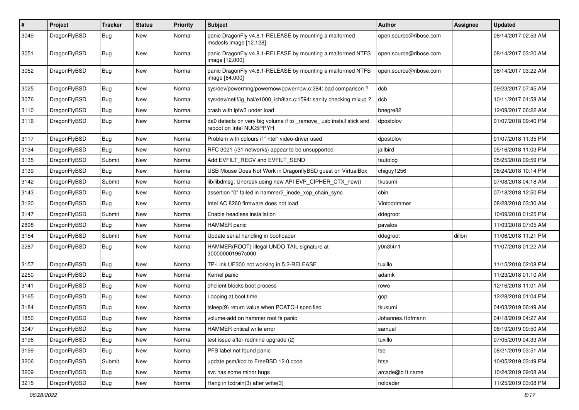| #    | Project      | <b>Tracker</b> | <b>Status</b> | <b>Priority</b> | Subject                                                                                         | <b>Author</b>          | Assignee | <b>Updated</b>      |
|------|--------------|----------------|---------------|-----------------|-------------------------------------------------------------------------------------------------|------------------------|----------|---------------------|
| 3049 | DragonFlyBSD | Bug            | <b>New</b>    | Normal          | panic DragonFly v4.8.1-RELEASE by mounting a malformed<br>msdosfs image [12.128]                | open.source@ribose.com |          | 08/14/2017 02:53 AM |
| 3051 | DragonFlyBSD | Bug            | <b>New</b>    | Normal          | panic DragonFly v4.8.1-RELEASE by mounting a malformed NTFS<br>image [12.000]                   | open.source@ribose.com |          | 08/14/2017 03:20 AM |
| 3052 | DragonFlyBSD | <b>Bug</b>     | <b>New</b>    | Normal          | panic DragonFly v4.8.1-RELEASE by mounting a malformed NTFS<br>image [64.000]                   | open.source@ribose.com |          | 08/14/2017 03:22 AM |
| 3025 | DragonFlyBSD | Bug            | <b>New</b>    | Normal          | sys/dev/powermng/powernow/powernow.c:284: bad comparison?                                       | dcb                    |          | 09/23/2017 07:45 AM |
| 3076 | DragonFlyBSD | Bug            | <b>New</b>    | Normal          | sys/dev/netif/ig_hal/e1000_ich8lan.c:1594: sanity checking mixup ?                              | dcb                    |          | 10/11/2017 01:58 AM |
| 3110 | DragonFlyBSD | <b>Bug</b>     | <b>New</b>    | Normal          | crash with ipfw3 under load                                                                     | bnegre82               |          | 12/09/2017 06:22 AM |
| 3116 | DragonFlyBSD | <b>Bug</b>     | New           | Normal          | da0 detects on very big volume if to _remove_ usb install stick and<br>reboot on Intel NUC5PPYH | dpostolov              |          | 01/07/2018 09:40 PM |
| 3117 | DragonFlyBSD | <b>Bug</b>     | <b>New</b>    | Normal          | Problem with colours if "intel" video-driver used                                               | dpostolov              |          | 01/07/2018 11:35 PM |
| 3134 | DragonFlyBSD | Bug            | <b>New</b>    | Normal          | RFC 3021 (/31 networks) appear to be unsupported                                                | jailbird               |          | 05/16/2018 11:03 PM |
| 3135 | DragonFlyBSD | Submit         | New           | Normal          | Add EVFILT RECV and EVFILT SEND                                                                 | tautolog               |          | 05/25/2018 09:59 PM |
| 3139 | DragonFlyBSD | Bug            | <b>New</b>    | Normal          | USB Mouse Does Not Work in DragonflyBSD guest on VirtualBox                                     | chiguy1256             |          | 06/24/2018 10:14 PM |
| 3142 | DragonFlyBSD | Submit         | New           | Normal          | lib/libdmsg: Unbreak using new API EVP CIPHER CTX new()                                         | tkusumi                |          | 07/08/2018 04:18 AM |
| 3143 | DragonFlyBSD | <b>Bug</b>     | New           | Normal          | assertion "0" failed in hammer2_inode_xop_chain_sync                                            | cbin                   |          | 07/18/2018 12:50 PM |
| 3120 | DragonFlyBSD | <b>Bug</b>     | <b>New</b>    | Normal          | Intel AC 8260 firmware does not load                                                            | Vintodrimmer           |          | 08/28/2018 03:30 AM |
| 3147 | DragonFlyBSD | Submit         | New           | Normal          | Enable headless installation                                                                    | ddegroot               |          | 10/09/2018 01:25 PM |
| 2898 | DragonFlyBSD | Bug            | New           | Normal          | HAMMER panic                                                                                    | pavalos                |          | 11/03/2018 07:05 AM |
| 3154 | DragonFlyBSD | Submit         | <b>New</b>    | Normal          | Update serial handling in bootloader                                                            | ddegroot               | dillon   | 11/06/2018 11:21 PM |
| 2287 | DragonFlyBSD | Bug            | New           | Normal          | HAMMER(ROOT) Illegal UNDO TAIL signature at<br>300000001967c000                                 | y0n3t4n1               |          | 11/07/2018 01:22 AM |
| 3157 | DragonFlyBSD | <b>Bug</b>     | <b>New</b>    | Normal          | TP-Link UE300 not working in 5.2-RELEASE                                                        | tuxillo                |          | 11/15/2018 02:08 PM |
| 2250 | DragonFlyBSD | <b>Bug</b>     | <b>New</b>    | Normal          | Kernel panic                                                                                    | adamk                  |          | 11/23/2018 01:10 AM |
| 3141 | DragonFlyBSD | <b>Bug</b>     | <b>New</b>    | Normal          | dhclient blocks boot process                                                                    | rowo                   |          | 12/16/2018 11:01 AM |
| 3165 | DragonFlyBSD | <b>Bug</b>     | New           | Normal          | Looping at boot time                                                                            | gop                    |          | 12/28/2018 01:04 PM |
| 3184 | DragonFlyBSD | <b>Bug</b>     | <b>New</b>    | Normal          | tsleep(9) return value when PCATCH specified                                                    | tkusumi                |          | 04/03/2019 06:49 AM |
| 1850 | DragonFlyBSD | Bug            | New           | Normal          | volume-add on hammer root fs panic                                                              | Johannes.Hofmann       |          | 04/18/2019 04:27 AM |
| 3047 | DragonFlyBSD | <b>Bug</b>     | New           | Normal          | HAMMER critical write error                                                                     | samuel                 |          | 06/19/2019 09:50 AM |
| 3196 | DragonFlyBSD | <b>Bug</b>     | New           | Normal          | test issue after redmine upgrade (2)                                                            | tuxillo                |          | 07/05/2019 04:33 AM |
| 3199 | DragonFlyBSD | Bug            | New           | Normal          | PFS label not found panic                                                                       | tse                    |          | 08/21/2019 03:51 AM |
| 3206 | DragonFlyBSD | Submit         | New           | Normal          | update psm/kbd to FreeBSD 12.0 code                                                             | htse                   |          | 10/05/2019 03:49 PM |
| 3209 | DragonFlyBSD | <b>Bug</b>     | New           | Normal          | svc has some minor bugs                                                                         | arcade@b1t.name        |          | 10/24/2019 09:08 AM |
| 3215 | DragonFlyBSD | <b>Bug</b>     | New           | Normal          | Hang in tcdrain(3) after write(3)                                                               | noloader               |          | 11/25/2019 03:08 PM |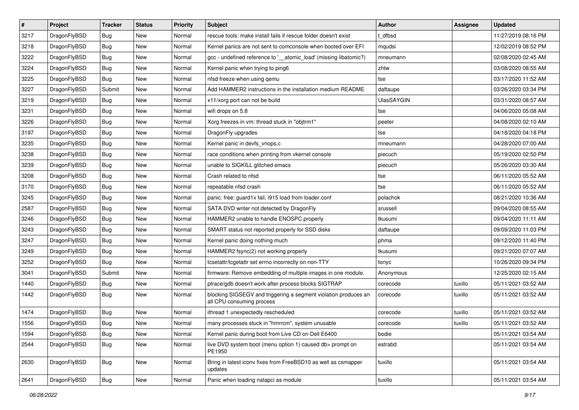| $\sharp$ | Project      | <b>Tracker</b> | <b>Status</b> | <b>Priority</b> | Subject                                                                                      | <b>Author</b>     | Assignee | <b>Updated</b>      |
|----------|--------------|----------------|---------------|-----------------|----------------------------------------------------------------------------------------------|-------------------|----------|---------------------|
| 3217     | DragonFlyBSD | <b>Bug</b>     | New           | Normal          | rescue tools: make install fails if rescue folder doesn't exist                              | t_dfbsd           |          | 11/27/2019 08:16 PM |
| 3218     | DragonFlyBSD | <b>Bug</b>     | <b>New</b>    | Normal          | Kernel panics are not sent to comconsole when booted over EFI                                | mqudsi            |          | 12/02/2019 08:52 PM |
| 3222     | DragonFlyBSD | <b>Bug</b>     | <b>New</b>    | Normal          | gcc - undefined reference to '_atomic_load' (missing libatomic?)                             | mneumann          |          | 02/08/2020 02:45 AM |
| 3224     | DragonFlyBSD | <b>Bug</b>     | New           | Normal          | Kernel panic when trying to ping6                                                            | zhtw              |          | 03/08/2020 08:55 AM |
| 3225     | DragonFlyBSD | <b>Bug</b>     | <b>New</b>    | Normal          | nfsd freeze when using qemu                                                                  | tse               |          | 03/17/2020 11:52 AM |
| 3227     | DragonFlyBSD | Submit         | <b>New</b>    | Normal          | Add HAMMER2 instructions in the installation medium README                                   | daftaupe          |          | 03/26/2020 03:34 PM |
| 3219     | DragonFlyBSD | <b>Bug</b>     | New           | Normal          | x11/xorg port can not be build                                                               | <b>UlasSAYGIN</b> |          | 03/31/2020 08:57 AM |
| 3231     | DragonFlyBSD | <b>Bug</b>     | <b>New</b>    | Normal          | wifi drops on 5.8                                                                            | tse               |          | 04/06/2020 05:08 AM |
| 3226     | DragonFlyBSD | <b>Bug</b>     | New           | Normal          | Xorg freezes in vm: thread stuck in "objtrm1"                                                | peeter            |          | 04/08/2020 02:10 AM |
| 3197     | DragonFlyBSD | <b>Bug</b>     | <b>New</b>    | Normal          | DragonFly upgrades                                                                           | tse               |          | 04/18/2020 04:18 PM |
| 3235     | DragonFlyBSD | <b>Bug</b>     | New           | Normal          | Kernel panic in devfs vnops.c                                                                | mneumann          |          | 04/28/2020 07:00 AM |
| 3238     | DragonFlyBSD | <b>Bug</b>     | New           | Normal          | race conditions when printing from vkernel console                                           | piecuch           |          | 05/19/2020 02:50 PM |
| 3239     | DragonFlyBSD | Bug            | New           | Normal          | unable to SIGKILL glitched emacs                                                             | piecuch           |          | 05/26/2020 03:30 AM |
| 3208     | DragonFlyBSD | Bug            | <b>New</b>    | Normal          | Crash related to nfsd                                                                        | tse               |          | 06/11/2020 05:52 AM |
| 3170     | DragonFlyBSD | Bug            | <b>New</b>    | Normal          | repeatable nfsd crash                                                                        | tse               |          | 06/11/2020 05:52 AM |
| 3245     | DragonFlyBSD | <b>Bug</b>     | <b>New</b>    | Normal          | panic: free: guard1x fail, i915 load from loader.conf                                        | polachok          |          | 08/21/2020 10:36 AM |
| 2587     | DragonFlyBSD | Bug            | New           | Normal          | SATA DVD writer not detected by DragonFly                                                    | srussell          |          | 09/04/2020 08:55 AM |
| 3246     | DragonFlyBSD | Bug            | <b>New</b>    | Normal          | HAMMER2 unable to handle ENOSPC properly                                                     | tkusumi           |          | 09/04/2020 11:11 AM |
| 3243     | DragonFlyBSD | Bug            | <b>New</b>    | Normal          | SMART status not reported properly for SSD disks                                             | daftaupe          |          | 09/09/2020 11:03 PM |
| 3247     | DragonFlyBSD | Bug            | <b>New</b>    | Normal          | Kernel panic doing nothing much                                                              | phma              |          | 09/12/2020 11:40 PM |
| 3249     | DragonFlyBSD | Bug            | <b>New</b>    | Normal          | HAMMER2 fsync(2) not working properly                                                        | tkusumi           |          | 09/21/2020 07:07 AM |
| 3252     | DragonFlyBSD | Bug            | <b>New</b>    | Normal          | tcsetattr/tcgetattr set errno incorrectly on non-TTY                                         | tonyc             |          | 10/26/2020 09:34 PM |
| 3041     | DragonFlyBSD | Submit         | New           | Normal          | firmware: Remove embedding of multiple images in one module.                                 | Anonymous         |          | 12/25/2020 02:15 AM |
| 1440     | DragonFlyBSD | <b>Bug</b>     | New           | Normal          | ptrace/gdb doesn't work after process blocks SIGTRAP                                         | corecode          | tuxillo  | 05/11/2021 03:52 AM |
| 1442     | DragonFlyBSD | Bug            | <b>New</b>    | Normal          | blocking SIGSEGV and triggering a segment violation produces an<br>all CPU consuming process | corecode          | tuxillo  | 05/11/2021 03:52 AM |
| 1474     | DragonFlyBSD | Bug            | New           | Normal          | ithread 1 unexpectedly rescheduled                                                           | corecode          | tuxillo  | 05/11/2021 03:52 AM |
| 1556     | DragonFlyBSD | Bug            | New           | Normal          | many processes stuck in "hmrrcm", system unusable                                            | corecode          | tuxillo  | 05/11/2021 03:52 AM |
| 1594     | DragonFlyBSD | Bug            | New           | Normal          | Kernel panic during boot from Live CD on Dell E6400                                          | bodie             |          | 05/11/2021 03:54 AM |
| 2544     | DragonFlyBSD | <b>Bug</b>     | New           | Normal          | live DVD system boot (menu option 1) caused db> prompt on<br>PE1950                          | estrabd           |          | 05/11/2021 03:54 AM |
| 2630     | DragonFlyBSD | Bug            | New           | Normal          | Bring in latest iconv fixes from FreeBSD10 as well as csmapper<br>updates                    | tuxillo           |          | 05/11/2021 03:54 AM |
| 2641     | DragonFlyBSD | <b>Bug</b>     | New           | Normal          | Panic when loading natapci as module                                                         | tuxillo           |          | 05/11/2021 03:54 AM |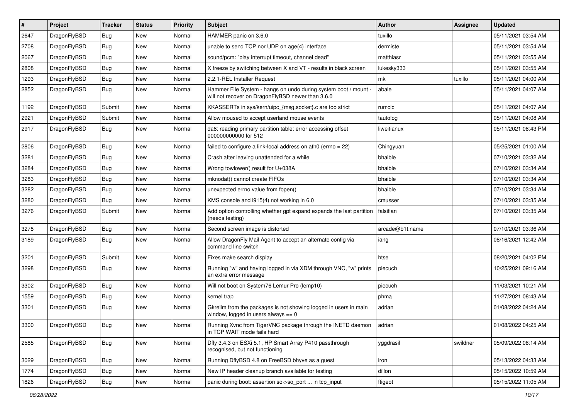| $\sharp$ | Project      | <b>Tracker</b> | <b>Status</b> | <b>Priority</b> | <b>Subject</b>                                                                                                       | Author          | Assignee | <b>Updated</b>      |
|----------|--------------|----------------|---------------|-----------------|----------------------------------------------------------------------------------------------------------------------|-----------------|----------|---------------------|
| 2647     | DragonFlyBSD | Bug            | New           | Normal          | HAMMER panic on 3.6.0                                                                                                | tuxillo         |          | 05/11/2021 03:54 AM |
| 2708     | DragonFlyBSD | Bug            | New           | Normal          | unable to send TCP nor UDP on age(4) interface                                                                       | dermiste        |          | 05/11/2021 03:54 AM |
| 2067     | DragonFlyBSD | Bug            | New           | Normal          | sound/pcm: "play interrupt timeout, channel dead"                                                                    | matthiasr       |          | 05/11/2021 03:55 AM |
| 2808     | DragonFlyBSD | Bug            | New           | Normal          | X freeze by switching between X and VT - results in black screen                                                     | lukesky333      |          | 05/11/2021 03:55 AM |
| 1293     | DragonFlyBSD | Bug            | <b>New</b>    | Normal          | 2.2.1-REL Installer Request                                                                                          | mk              | tuxillo  | 05/11/2021 04:00 AM |
| 2852     | DragonFlyBSD | Bug            | <b>New</b>    | Normal          | Hammer File System - hangs on undo during system boot / mount -<br>will not recover on DragonFlyBSD newer than 3.6.0 | abale           |          | 05/11/2021 04:07 AM |
| 1192     | DragonFlyBSD | Submit         | <b>New</b>    | Normal          | KKASSERTs in sys/kern/uipc_{msg,socket}.c are too strict                                                             | rumcic          |          | 05/11/2021 04:07 AM |
| 2921     | DragonFlyBSD | Submit         | New           | Normal          | Allow moused to accept userland mouse events                                                                         | tautolog        |          | 05/11/2021 04:08 AM |
| 2917     | DragonFlyBSD | Bug            | New           | Normal          | da8: reading primary partition table: error accessing offset<br>000000000000 for 512                                 | liweitianux     |          | 05/11/2021 08:43 PM |
| 2806     | DragonFlyBSD | Bug            | <b>New</b>    | Normal          | failed to configure a link-local address on ath $0$ (errno = 22)                                                     | Chingyuan       |          | 05/25/2021 01:00 AM |
| 3281     | DragonFlyBSD | Bug            | <b>New</b>    | Normal          | Crash after leaving unattended for a while                                                                           | bhaible         |          | 07/10/2021 03:32 AM |
| 3284     | DragonFlyBSD | Bug            | New           | Normal          | Wrong towlower() result for U+038A                                                                                   | bhaible         |          | 07/10/2021 03:34 AM |
| 3283     | DragonFlyBSD | Bug            | New           | Normal          | mknodat() cannot create FIFOs                                                                                        | bhaible         |          | 07/10/2021 03:34 AM |
| 3282     | DragonFlyBSD | Bug            | New           | Normal          | unexpected errno value from fopen()                                                                                  | bhaible         |          | 07/10/2021 03:34 AM |
| 3280     | DragonFlyBSD | Bug            | New           | Normal          | KMS console and i915(4) not working in 6.0                                                                           | cmusser         |          | 07/10/2021 03:35 AM |
| 3276     | DragonFlyBSD | Submit         | New           | Normal          | Add option controlling whether gpt expand expands the last partition<br>(needs testing)                              | falsifian       |          | 07/10/2021 03:35 AM |
| 3278     | DragonFlyBSD | Bug            | <b>New</b>    | Normal          | Second screen image is distorted                                                                                     | arcade@b1t.name |          | 07/10/2021 03:36 AM |
| 3189     | DragonFlyBSD | Bug            | <b>New</b>    | Normal          | Allow DragonFly Mail Agent to accept an alternate config via<br>command line switch                                  | iang            |          | 08/16/2021 12:42 AM |
| 3201     | DragonFlyBSD | Submit         | <b>New</b>    | Normal          | Fixes make search display                                                                                            | htse            |          | 08/20/2021 04:02 PM |
| 3298     | DragonFlyBSD | Bug            | <b>New</b>    | Normal          | Running "w" and having logged in via XDM through VNC, "w" prints<br>an extra error message                           | piecuch         |          | 10/25/2021 09:16 AM |
| 3302     | DragonFlyBSD | Bug            | <b>New</b>    | Normal          | Will not boot on System76 Lemur Pro (lemp10)                                                                         | piecuch         |          | 11/03/2021 10:21 AM |
| 1559     | DragonFlyBSD | Bug            | New           | Normal          | kernel trap                                                                                                          | phma            |          | 11/27/2021 08:43 AM |
| 3301     | DragonFlyBSD | Bug            | New           | Normal          | Gkrellm from the packages is not showing logged in users in main<br>window, logged in users always $== 0$            | adrian          |          | 01/08/2022 04:24 AM |
| 3300     | DragonFlyBSD | Bug            | <b>New</b>    | Normal          | Running Xvnc from TigerVNC package through the INETD daemon<br>in TCP WAIT mode fails hard                           | adrian          |          | 01/08/2022 04:25 AM |
| 2585     | DragonFlyBSD | <b>Bug</b>     | New           | Normal          | Dfly 3.4.3 on ESXi 5.1, HP Smart Array P410 passthrough<br>recognised, but not functioning                           | yggdrasil       | swildner | 05/09/2022 08:14 AM |
| 3029     | DragonFlyBSD | <b>Bug</b>     | New           | Normal          | Running DflyBSD 4.8 on FreeBSD bhyve as a guest                                                                      | iron            |          | 05/13/2022 04:33 AM |
| 1774     | DragonFlyBSD | Bug            | New           | Normal          | New IP header cleanup branch available for testing                                                                   | dillon          |          | 05/15/2022 10:59 AM |
| 1826     | DragonFlyBSD | <b>Bug</b>     | New           | Normal          | panic during boot: assertion so->so_port  in tcp_input                                                               | ftigeot         |          | 05/15/2022 11:05 AM |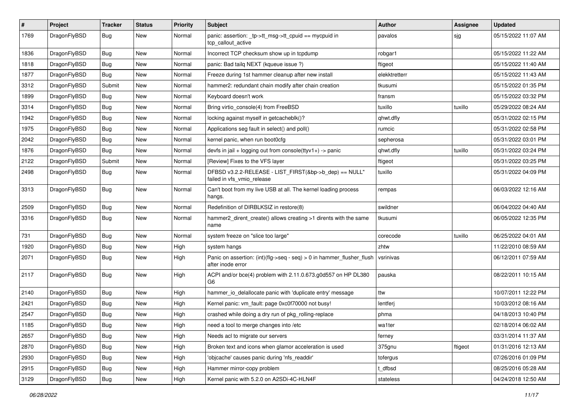| $\pmb{\#}$ | Project      | <b>Tracker</b> | <b>Status</b> | <b>Priority</b> | Subject                                                                                    | Author        | <b>Assignee</b> | <b>Updated</b>      |
|------------|--------------|----------------|---------------|-----------------|--------------------------------------------------------------------------------------------|---------------|-----------------|---------------------|
| 1769       | DragonFlyBSD | Bug            | New           | Normal          | panic: assertion: _tp->tt_msg->tt_cpuid == mycpuid in<br>tcp callout active                | pavalos       | sjg             | 05/15/2022 11:07 AM |
| 1836       | DragonFlyBSD | <b>Bug</b>     | <b>New</b>    | Normal          | Incorrect TCP checksum show up in tcpdump                                                  | robgar1       |                 | 05/15/2022 11:22 AM |
| 1818       | DragonFlyBSD | Bug            | New           | Normal          | panic: Bad tailq NEXT (kqueue issue ?)                                                     | ftigeot       |                 | 05/15/2022 11:40 AM |
| 1877       | DragonFlyBSD | <b>Bug</b>     | <b>New</b>    | Normal          | Freeze during 1st hammer cleanup after new install                                         | elekktretterr |                 | 05/15/2022 11:43 AM |
| 3312       | DragonFlyBSD | Submit         | New           | Normal          | hammer2: redundant chain modify after chain creation                                       | tkusumi       |                 | 05/15/2022 01:35 PM |
| 1899       | DragonFlyBSD | Bug            | <b>New</b>    | Normal          | Keyboard doesn't work                                                                      | fransm        |                 | 05/15/2022 03:32 PM |
| 3314       | DragonFlyBSD | <b>Bug</b>     | New           | Normal          | Bring virtio console(4) from FreeBSD                                                       | tuxillo       | tuxillo         | 05/29/2022 08:24 AM |
| 1942       | DragonFlyBSD | Bug            | <b>New</b>    | Normal          | locking against myself in getcacheblk()?                                                   | qhwt.dfly     |                 | 05/31/2022 02:15 PM |
| 1975       | DragonFlyBSD | Bug            | <b>New</b>    | Normal          | Applications seg fault in select() and poll()                                              | rumcic        |                 | 05/31/2022 02:58 PM |
| 2042       | DragonFlyBSD | Bug            | New           | Normal          | kernel panic, when run boot0cfg                                                            | sepherosa     |                 | 05/31/2022 03:01 PM |
| 1876       | DragonFlyBSD | Bug            | <b>New</b>    | Normal          | devfs in $ ail + logging$ out from console(ttyv1+) -> panic                                | qhwt.dfly     | tuxillo         | 05/31/2022 03:24 PM |
| 2122       | DragonFlyBSD | Submit         | New           | Normal          | [Review] Fixes to the VFS layer                                                            | ftigeot       |                 | 05/31/2022 03:25 PM |
| 2498       | DragonFlyBSD | Bug            | New           | Normal          | DFBSD v3.2.2-RELEASE - LIST_FIRST(&bp->b_dep) == NULL"<br>failed in vfs_vmio_release       | tuxillo       |                 | 05/31/2022 04:09 PM |
| 3313       | DragonFlyBSD | Bug            | <b>New</b>    | Normal          | Can't boot from my live USB at all. The kernel loading process<br>hangs.                   | rempas        |                 | 06/03/2022 12:16 AM |
| 2509       | DragonFlyBSD | Bug            | <b>New</b>    | Normal          | Redefinition of DIRBLKSIZ in restore(8)                                                    | swildner      |                 | 06/04/2022 04:40 AM |
| 3316       | DragonFlyBSD | Bug            | New           | Normal          | hammer2 dirent create() allows creating >1 dirents with the same<br>name                   | tkusumi       |                 | 06/05/2022 12:35 PM |
| 731        | DragonFlyBSD | <b>Bug</b>     | New           | Normal          | system freeze on "slice too large"                                                         | corecode      | tuxillo         | 06/25/2022 04:01 AM |
| 1920       | DragonFlyBSD | Bug            | New           | High            | system hangs                                                                               | zhtw          |                 | 11/22/2010 08:59 AM |
| 2071       | DragonFlyBSD | Bug            | New           | High            | Panic on assertion: (int)(flg->seq - seq) > 0 in hammer_flusher_flush<br>after inode error | vsrinivas     |                 | 06/12/2011 07:59 AM |
| 2117       | DragonFlyBSD | Bug            | New           | High            | ACPI and/or bce(4) problem with 2.11.0.673.g0d557 on HP DL380<br>G6                        | pauska        |                 | 08/22/2011 10:15 AM |
| 2140       | DragonFlyBSD | <b>Bug</b>     | New           | High            | hammer io delallocate panic with 'duplicate entry' message                                 | ttw           |                 | 10/07/2011 12:22 PM |
| 2421       | DragonFlyBSD | Bug            | <b>New</b>    | High            | Kernel panic: vm_fault: page 0xc0f70000 not busy!                                          | lentferj      |                 | 10/03/2012 08:16 AM |
| 2547       | DragonFlyBSD | <b>Bug</b>     | <b>New</b>    | High            | crashed while doing a dry run of pkg_rolling-replace                                       | phma          |                 | 04/18/2013 10:40 PM |
| 1185       | DragonFlyBSD | Bug            | New           | High            | need a tool to merge changes into /etc                                                     | wa1ter        |                 | 02/18/2014 06:02 AM |
| 2657       | DragonFlyBSD | Bug            | New           | High            | Needs acl to migrate our servers                                                           | ferney        |                 | 03/31/2014 11:37 AM |
| 2870       | DragonFlyBSD | <b>Bug</b>     | New           | High            | Broken text and icons when glamor acceleration is used                                     | 375gnu        | ftigeot         | 01/31/2016 12:13 AM |
| 2930       | DragonFlyBSD | <b>Bug</b>     | New           | High            | 'objcache' causes panic during 'nfs_readdir'                                               | tofergus      |                 | 07/26/2016 01:09 PM |
| 2915       | DragonFlyBSD | <b>Bug</b>     | New           | High            | Hammer mirror-copy problem                                                                 | t_dfbsd       |                 | 08/25/2016 05:28 AM |
| 3129       | DragonFlyBSD | Bug            | New           | High            | Kernel panic with 5.2.0 on A2SDi-4C-HLN4F                                                  | stateless     |                 | 04/24/2018 12:50 AM |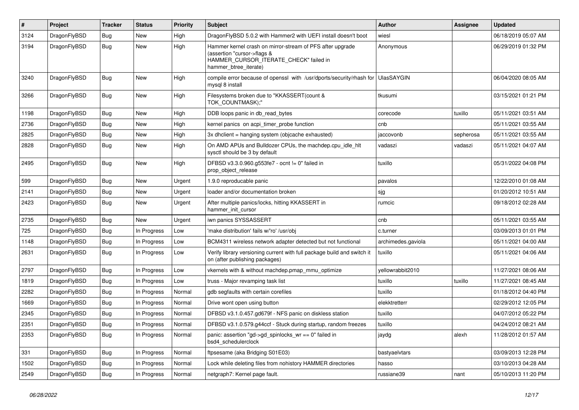| #    | Project      | <b>Tracker</b> | <b>Status</b> | <b>Priority</b> | Subject                                                                                                                                                     | <b>Author</b>      | Assignee  | <b>Updated</b>      |
|------|--------------|----------------|---------------|-----------------|-------------------------------------------------------------------------------------------------------------------------------------------------------------|--------------------|-----------|---------------------|
| 3124 | DragonFlyBSD | <b>Bug</b>     | <b>New</b>    | High            | DragonFlyBSD 5.0.2 with Hammer2 with UEFI install doesn't boot                                                                                              | wiesl              |           | 06/18/2019 05:07 AM |
| 3194 | DragonFlyBSD | <b>Bug</b>     | <b>New</b>    | High            | Hammer kernel crash on mirror-stream of PFS after upgrade<br>(assertion "cursor->flags &<br>HAMMER_CURSOR_ITERATE_CHECK" failed in<br>hammer_btree_iterate) | Anonymous          |           | 06/29/2019 01:32 PM |
| 3240 | DragonFlyBSD | <b>Bug</b>     | <b>New</b>    | High            | compile error because of openssl with /usr/dports/security/rhash for<br>mysql 8 install                                                                     | <b>UlasSAYGIN</b>  |           | 06/04/2020 08:05 AM |
| 3266 | DragonFlyBSD | <b>Bug</b>     | <b>New</b>    | High            | Filesystems broken due to "KKASSERT(count &<br>TOK_COUNTMASK);"                                                                                             | tkusumi            |           | 03/15/2021 01:21 PM |
| 1198 | DragonFlyBSD | <b>Bug</b>     | <b>New</b>    | High            | DDB loops panic in db_read_bytes                                                                                                                            | corecode           | tuxillo   | 05/11/2021 03:51 AM |
| 2736 | DragonFlyBSD | <b>Bug</b>     | <b>New</b>    | High            | kernel panics on acpi_timer_probe function                                                                                                                  | cnb                |           | 05/11/2021 03:55 AM |
| 2825 | DragonFlyBSD | <b>Bug</b>     | <b>New</b>    | High            | 3x dhclient = hanging system (objcache exhausted)                                                                                                           | jaccovonb          | sepherosa | 05/11/2021 03:55 AM |
| 2828 | DragonFlyBSD | <b>Bug</b>     | <b>New</b>    | High            | On AMD APUs and Bulldozer CPUs, the machdep.cpu_idle_hlt<br>sysctl should be 3 by default                                                                   | vadaszi            | vadaszi   | 05/11/2021 04:07 AM |
| 2495 | DragonFlyBSD | Bug            | <b>New</b>    | High            | DFBSD v3.3.0.960.g553fe7 - ocnt != 0" failed in<br>prop_object_release                                                                                      | tuxillo            |           | 05/31/2022 04:08 PM |
| 599  | DragonFlyBSD | Bug            | <b>New</b>    | Urgent          | 1.9.0 reproducable panic                                                                                                                                    | pavalos            |           | 12/22/2010 01:08 AM |
| 2141 | DragonFlyBSD | <b>Bug</b>     | <b>New</b>    | Urgent          | loader and/or documentation broken                                                                                                                          | sjg                |           | 01/20/2012 10:51 AM |
| 2423 | DragonFlyBSD | Bug            | New           | Urgent          | After multiple panics/locks, hitting KKASSERT in<br>hammer init cursor                                                                                      | rumcic             |           | 09/18/2012 02:28 AM |
| 2735 | DragonFlyBSD | <b>Bug</b>     | New           | Urgent          | iwn panics SYSSASSERT                                                                                                                                       | cnb                |           | 05/11/2021 03:55 AM |
| 725  | DragonFlyBSD | <b>Bug</b>     | In Progress   | Low             | 'make distribution' fails w/'ro' /usr/obj                                                                                                                   | c.turner           |           | 03/09/2013 01:01 PM |
| 1148 | DragonFlyBSD | <b>Bug</b>     | In Progress   | Low             | BCM4311 wireless network adapter detected but not functional                                                                                                | archimedes.gaviola |           | 05/11/2021 04:00 AM |
| 2631 | DragonFlyBSD | <b>Bug</b>     | In Progress   | Low             | Verify library versioning current with full package build and switch it<br>on (after publishing packages)                                                   | tuxillo            |           | 05/11/2021 04:06 AM |
| 2797 | DragonFlyBSD | <b>Bug</b>     | In Progress   | Low             | vkernels with & without machdep.pmap_mmu_optimize                                                                                                           | yellowrabbit2010   |           | 11/27/2021 08:06 AM |
| 1819 | DragonFlyBSD | <b>Bug</b>     | In Progress   | Low             | truss - Major revamping task list                                                                                                                           | tuxillo            | tuxillo   | 11/27/2021 08:45 AM |
| 2282 | DragonFlyBSD | <b>Bug</b>     | In Progress   | Normal          | gdb segfaults with certain corefiles                                                                                                                        | tuxillo            |           | 01/18/2012 04:40 PM |
| 1669 | DragonFlyBSD | <b>Bug</b>     | In Progress   | Normal          | Drive wont open using button                                                                                                                                | elekktretterr      |           | 02/29/2012 12:05 PM |
| 2345 | DragonFlyBSD | <b>Bug</b>     | In Progress   | Normal          | DFBSD v3.1.0.457.gd679f - NFS panic on diskless station                                                                                                     | tuxillo            |           | 04/07/2012 05:22 PM |
| 2351 | DragonFlyBSD | Bug            | In Progress   | Normal          | DFBSD v3.1.0.579.g44ccf - Stuck during startup, random freezes                                                                                              | tuxillo            |           | 04/24/2012 08:21 AM |
| 2353 | DragonFlyBSD | <b>Bug</b>     | In Progress   | Normal          | panic: assertion "gd->gd_spinlocks_wr == 0" failed in<br>bsd4_schedulerclock                                                                                | jaydg              | alexh     | 11/28/2012 01:57 AM |
| 331  | DragonFlyBSD | <b>Bug</b>     | In Progress   | Normal          | ftpsesame (aka Bridging S01E03)                                                                                                                             | bastyaelvtars      |           | 03/09/2013 12:28 PM |
| 1502 | DragonFlyBSD | <b>Bug</b>     | In Progress   | Normal          | Lock while deleting files from nohistory HAMMER directories                                                                                                 | hasso              |           | 03/10/2013 04:28 AM |
| 2549 | DragonFlyBSD | <b>Bug</b>     | In Progress   | Normal          | netgraph7: Kernel page fault.                                                                                                                               | russiane39         | nant      | 05/10/2013 11:20 PM |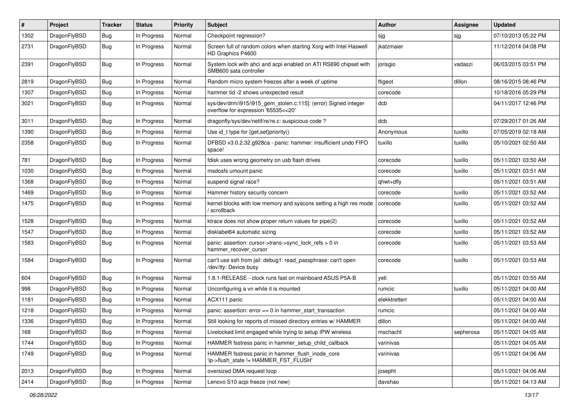| $\pmb{\#}$ | Project      | <b>Tracker</b> | <b>Status</b> | <b>Priority</b> | Subject                                                                                                | Author        | <b>Assignee</b> | <b>Updated</b>      |
|------------|--------------|----------------|---------------|-----------------|--------------------------------------------------------------------------------------------------------|---------------|-----------------|---------------------|
| 1302       | DragonFlyBSD | <b>Bug</b>     | In Progress   | Normal          | Checkpoint regression?                                                                                 | sjg           | sjg             | 07/10/2013 05:22 PM |
| 2731       | DragonFlyBSD | Bug            | In Progress   | Normal          | Screen full of random colors when starting Xorg with Intel Haswell<br>HD Graphics P4600                | ikatzmaier    |                 | 11/12/2014 04:08 PM |
| 2391       | DragonFlyBSD | Bug            | In Progress   | Normal          | System lock with ahci and acpi enabled on ATI RS690 chipset with<br>SMB600 sata controller             | jorisgio      | vadaszi         | 06/03/2015 03:51 PM |
| 2819       | DragonFlyBSD | <b>Bug</b>     | In Progress   | Normal          | Random micro system freezes after a week of uptime                                                     | ftigeot       | dillon          | 08/16/2015 08:46 PM |
| 1307       | DragonFlyBSD | <b>Bug</b>     | In Progress   | Normal          | hammer tid -2 shows unexpected result                                                                  | corecode      |                 | 10/18/2016 05:29 PM |
| 3021       | DragonFlyBSD | Bug            | In Progress   | Normal          | sys/dev/drm/i915/i915_gem_stolen.c:115]: (error) Signed integer<br>overflow for expression '65535<<20' | dcb           |                 | 04/11/2017 12:46 PM |
| 3011       | DragonFlyBSD | Bug            | In Progress   | Normal          | dragonfly/sys/dev/netif/re/re.c: suspicious code ?                                                     | dcb           |                 | 07/29/2017 01:26 AM |
| 1390       | DragonFlyBSD | Bug            | In Progress   | Normal          | Use id_t type for {get,set}priority()                                                                  | Anonymous     | tuxillo         | 07/05/2019 02:18 AM |
| 2358       | DragonFlyBSD | Bug            | In Progress   | Normal          | DFBSD v3.0.2.32.g928ca - panic: hammer: insufficient undo FIFO<br>space!                               | tuxillo       | tuxillo         | 05/10/2021 02:50 AM |
| 781        | DragonFlyBSD | <b>Bug</b>     | In Progress   | Normal          | fdisk uses wrong geometry on usb flash drives                                                          | corecode      | tuxillo         | 05/11/2021 03:50 AM |
| 1030       | DragonFlyBSD | Bug            | In Progress   | Normal          | msdosfs umount panic                                                                                   | corecode      | tuxillo         | 05/11/2021 03:51 AM |
| 1368       | DragonFlyBSD | <b>Bug</b>     | In Progress   | Normal          | suspend signal race?                                                                                   | qhwt+dfly     |                 | 05/11/2021 03:51 AM |
| 1469       | DragonFlyBSD | Bug            | In Progress   | Normal          | Hammer history security concern                                                                        | corecode      | tuxillo         | 05/11/2021 03:52 AM |
| 1475       | DragonFlyBSD | Bug            | In Progress   | Normal          | kernel blocks with low memory and syscons setting a high res mode<br>/ scrollback                      | corecode      | tuxillo         | 05/11/2021 03:52 AM |
| 1528       | DragonFlyBSD | Bug            | In Progress   | Normal          | ktrace does not show proper return values for pipe(2)                                                  | corecode      | tuxillo         | 05/11/2021 03:52 AM |
| 1547       | DragonFlyBSD | <b>Bug</b>     | In Progress   | Normal          | disklabel64 automatic sizing                                                                           | corecode      | tuxillo         | 05/11/2021 03:52 AM |
| 1583       | DragonFlyBSD | Bug            | In Progress   | Normal          | panic: assertion: cursor->trans->sync_lock_refs > 0 in<br>hammer_recover_cursor                        | corecode      | tuxillo         | 05/11/2021 03:53 AM |
| 1584       | DragonFlyBSD | Bug            | In Progress   | Normal          | can't use ssh from jail: debug1: read_passphrase: can't open<br>/dev/tty: Device busy                  | corecode      | tuxillo         | 05/11/2021 03:53 AM |
| 604        | DragonFlyBSD | Bug            | In Progress   | Normal          | 1.8.1-RELEASE - clock runs fast on mainboard ASUS P5A-B                                                | yeti          |                 | 05/11/2021 03:55 AM |
| 998        | DragonFlyBSD | Bug            | In Progress   | Normal          | Unconfiguring a vn while it is mounted                                                                 | rumcic        | tuxillo         | 05/11/2021 04:00 AM |
| 1181       | DragonFlyBSD | Bug            | In Progress   | Normal          | ACX111 panic                                                                                           | elekktretterr |                 | 05/11/2021 04:00 AM |
| 1218       | DragonFlyBSD | Bug            | In Progress   | Normal          | panic: assertion: $error == 0$ in hammer start transaction                                             | rumcic        |                 | 05/11/2021 04:00 AM |
| 1336       | DragonFlyBSD | <b>Bug</b>     | In Progress   | Normal          | Still looking for reports of missed directory entries w/ HAMMER                                        | dillon        |                 | 05/11/2021 04:00 AM |
| 168        | DragonFlyBSD | <b>Bug</b>     | In Progress   | Normal          | Livelocked limit engaged while trying to setup IPW wireless                                            | mschacht      | sepherosa       | 05/11/2021 04:05 AM |
| 1744       | DragonFlyBSD | <b>Bug</b>     | In Progress   | Normal          | HAMMER fsstress panic in hammer setup child callback                                                   | vsrinivas     |                 | 05/11/2021 04:05 AM |
| 1749       | DragonFlyBSD | Bug            | In Progress   | Normal          | HAMMER fsstress panic in hammer_flush_inode_core<br>'ip->flush_state != HAMMER_FST_FLUSH'              | vsrinivas     |                 | 05/11/2021 04:06 AM |
| 2013       | DragonFlyBSD | Bug            | In Progress   | Normal          | oversized DMA request loop                                                                             | josepht       |                 | 05/11/2021 04:06 AM |
| 2414       | DragonFlyBSD | Bug            | In Progress   | Normal          | Lenovo S10 acpi freeze (not new)                                                                       | davshao       |                 | 05/11/2021 04:13 AM |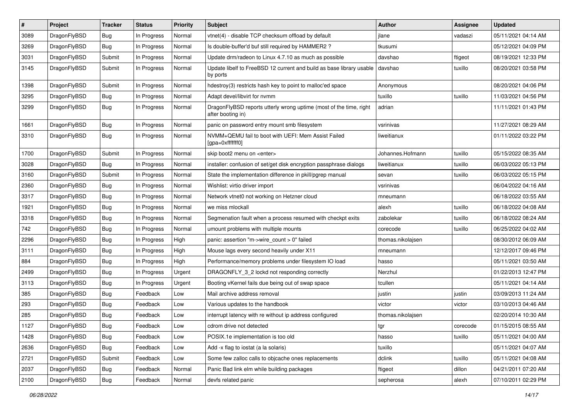| ∦    | Project      | <b>Tracker</b>   | <b>Status</b> | <b>Priority</b> | <b>Subject</b>                                                                          | Author            | Assignee | <b>Updated</b>      |
|------|--------------|------------------|---------------|-----------------|-----------------------------------------------------------------------------------------|-------------------|----------|---------------------|
| 3089 | DragonFlyBSD | <b>Bug</b>       | In Progress   | Normal          | vtnet(4) - disable TCP checksum offload by default                                      | jlane             | vadaszi  | 05/11/2021 04:14 AM |
| 3269 | DragonFlyBSD | Bug              | In Progress   | Normal          | Is double-buffer'd buf still required by HAMMER2 ?                                      | tkusumi           |          | 05/12/2021 04:09 PM |
| 3031 | DragonFlyBSD | Submit           | In Progress   | Normal          | Update drm/radeon to Linux 4.7.10 as much as possible                                   | davshao           | ftigeot  | 08/19/2021 12:33 PM |
| 3145 | DragonFlyBSD | Submit           | In Progress   | Normal          | Update libelf to FreeBSD 12 current and build as base library usable<br>by ports        | davshao           | tuxillo  | 08/20/2021 03:58 PM |
| 1398 | DragonFlyBSD | Submit           | In Progress   | Normal          | hdestroy(3) restricts hash key to point to malloc'ed space                              | Anonymous         |          | 08/20/2021 04:06 PM |
| 3295 | DragonFlyBSD | Bug              | In Progress   | Normal          | Adapt devel/libvirt for nvmm                                                            | tuxillo           | tuxillo  | 11/03/2021 04:56 PM |
| 3299 | DragonFlyBSD | <b>Bug</b>       | In Progress   | Normal          | DragonFlyBSD reports utterly wrong uptime (most of the time, right<br>after booting in) | adrian            |          | 11/11/2021 01:43 PM |
| 1661 | DragonFlyBSD | <b>Bug</b>       | In Progress   | Normal          | panic on password entry mount smb filesystem                                            | vsrinivas         |          | 11/27/2021 08:29 AM |
| 3310 | DragonFlyBSD | <b>Bug</b>       | In Progress   | Normal          | NVMM+QEMU fail to boot with UEFI: Mem Assist Failed<br>[gpa=0xfffffff0]                 | liweitianux       |          | 01/11/2022 03:22 PM |
| 1700 | DragonFlyBSD | Submit           | In Progress   | Normal          | skip boot2 menu on <enter></enter>                                                      | Johannes.Hofmann  | tuxillo  | 05/15/2022 08:35 AM |
| 3028 | DragonFlyBSD | <b>Bug</b>       | In Progress   | Normal          | installer: confusion of set/get disk encryption passphrase dialogs                      | liweitianux       | tuxillo  | 06/03/2022 05:13 PM |
| 3160 | DragonFlyBSD | Submit           | In Progress   | Normal          | State the implementation difference in pkill/pgrep manual                               | sevan             | tuxillo  | 06/03/2022 05:15 PM |
| 2360 | DragonFlyBSD | <b>Bug</b>       | In Progress   | Normal          | Wishlist: virtio driver import                                                          | vsrinivas         |          | 06/04/2022 04:16 AM |
| 3317 | DragonFlyBSD | Bug              | In Progress   | Normal          | Network vtnet0 not working on Hetzner cloud                                             | mneumann          |          | 06/18/2022 03:55 AM |
| 1921 | DragonFlyBSD | <b>Bug</b>       | In Progress   | Normal          | we miss mlockall                                                                        | alexh             | tuxillo  | 06/18/2022 04:08 AM |
| 3318 | DragonFlyBSD | <b>Bug</b>       | In Progress   | Normal          | Segmenation fault when a process resumed with checkpt exits                             | zabolekar         | tuxillo  | 06/18/2022 08:24 AM |
| 742  | DragonFlyBSD | Bug              | In Progress   | Normal          | umount problems with multiple mounts                                                    | corecode          | tuxillo  | 06/25/2022 04:02 AM |
| 2296 | DragonFlyBSD | <b>Bug</b>       | In Progress   | High            | panic: assertion "m->wire count > 0" failed                                             | thomas.nikolajsen |          | 08/30/2012 06:09 AM |
| 3111 | DragonFlyBSD | <b>Bug</b>       | In Progress   | High            | Mouse lags every second heavily under X11                                               | mneumann          |          | 12/12/2017 09:46 PM |
| 884  | DragonFlyBSD | <b>Bug</b>       | In Progress   | High            | Performance/memory problems under filesystem IO load                                    | hasso             |          | 05/11/2021 03:50 AM |
| 2499 | DragonFlyBSD | <b>Bug</b>       | In Progress   | Urgent          | DRAGONFLY_3_2 lockd not responding correctly                                            | Nerzhul           |          | 01/22/2013 12:47 PM |
| 3113 | DragonFlyBSD | Bug              | In Progress   | Urgent          | Booting vKernel fails due being out of swap space                                       | tcullen           |          | 05/11/2021 04:14 AM |
| 385  | DragonFlyBSD | Bug              | Feedback      | Low             | Mail archive address removal                                                            | justin            | justin   | 03/09/2013 11:24 AM |
| 293  | DragonFlyBSD | <b>Bug</b>       | Feedback      | Low             | Various updates to the handbook                                                         | victor            | victor   | 03/10/2013 04:46 AM |
| 285  | DragonFlyBSD | <b>Bug</b>       | Feedback      | Low             | interrupt latency with re without ip address configured                                 | thomas.nikolajsen |          | 02/20/2014 10:30 AM |
| 1127 | DragonFlyBSD | <sub>i</sub> Bug | Feedback      | .ow             | cdrom drive not detected                                                                | tgr               | corecode | 01/15/2015 08:55 AM |
| 1428 | DragonFlyBSD | <b>Bug</b>       | Feedback      | Low             | POSIX.1e implementation is too old                                                      | hasso             | tuxillo  | 05/11/2021 04:00 AM |
| 2636 | DragonFlyBSD | Bug              | Feedback      | Low             | Add -x flag to iostat (a la solaris)                                                    | tuxillo           |          | 05/11/2021 04:07 AM |
| 2721 | DragonFlyBSD | Submit           | Feedback      | Low             | Some few zalloc calls to objcache ones replacements                                     | dclink            | tuxillo  | 05/11/2021 04:08 AM |
| 2037 | DragonFlyBSD | <b>Bug</b>       | Feedback      | Normal          | Panic Bad link elm while building packages                                              | ftigeot           | dillon   | 04/21/2011 07:20 AM |
| 2100 | DragonFlyBSD | Bug              | Feedback      | Normal          | devfs related panic                                                                     | sepherosa         | alexh    | 07/10/2011 02:29 PM |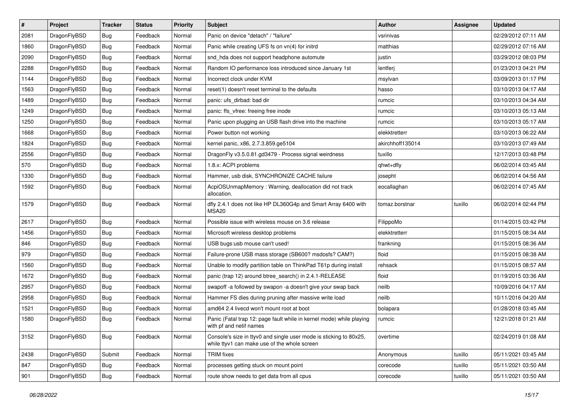| $\sharp$ | Project      | <b>Tracker</b> | <b>Status</b> | <b>Priority</b> | <b>Subject</b>                                                                                                     | Author           | Assignee | <b>Updated</b>      |
|----------|--------------|----------------|---------------|-----------------|--------------------------------------------------------------------------------------------------------------------|------------------|----------|---------------------|
| 2081     | DragonFlyBSD | <b>Bug</b>     | Feedback      | Normal          | Panic on device "detach" / "failure"                                                                               | vsrinivas        |          | 02/29/2012 07:11 AM |
| 1860     | DragonFlyBSD | <b>Bug</b>     | Feedback      | Normal          | Panic while creating UFS fs on vn(4) for initrd                                                                    | matthias         |          | 02/29/2012 07:16 AM |
| 2090     | DragonFlyBSD | <b>Bug</b>     | Feedback      | Normal          | snd_hda does not support headphone automute                                                                        | justin           |          | 03/29/2012 08:03 PM |
| 2288     | DragonFlyBSD | <b>Bug</b>     | Feedback      | Normal          | Random IO performance loss introduced since January 1st                                                            | lentferj         |          | 01/23/2013 04:21 PM |
| 1144     | DragonFlyBSD | <b>Bug</b>     | Feedback      | Normal          | Incorrect clock under KVM                                                                                          | msylvan          |          | 03/09/2013 01:17 PM |
| 1563     | DragonFlyBSD | <b>Bug</b>     | Feedback      | Normal          | reset(1) doesn't reset terminal to the defaults                                                                    | hasso            |          | 03/10/2013 04:17 AM |
| 1489     | DragonFlyBSD | <b>Bug</b>     | Feedback      | Normal          | panic: ufs dirbad: bad dir                                                                                         | rumcic           |          | 03/10/2013 04:34 AM |
| 1249     | DragonFlyBSD | <b>Bug</b>     | Feedback      | Normal          | panic: ffs_vfree: freeing free inode                                                                               | rumcic           |          | 03/10/2013 05:13 AM |
| 1250     | DragonFlyBSD | <b>Bug</b>     | Feedback      | Normal          | Panic upon plugging an USB flash drive into the machine                                                            | rumcic           |          | 03/10/2013 05:17 AM |
| 1668     | DragonFlyBSD | <b>Bug</b>     | Feedback      | Normal          | Power button not working                                                                                           | elekktretterr    |          | 03/10/2013 06:22 AM |
| 1824     | DragonFlyBSD | <b>Bug</b>     | Feedback      | Normal          | kernel panic, x86, 2.7.3.859.ge5104                                                                                | akirchhoff135014 |          | 03/10/2013 07:49 AM |
| 2556     | DragonFlyBSD | <b>Bug</b>     | Feedback      | Normal          | DragonFly v3.5.0.81.gd3479 - Process signal weirdness                                                              | tuxillo          |          | 12/17/2013 03:48 PM |
| 570      | DragonFlyBSD | <b>Bug</b>     | Feedback      | Normal          | 1.8.x: ACPI problems                                                                                               | qhwt+dfly        |          | 06/02/2014 03:45 AM |
| 1330     | DragonFlyBSD | <b>Bug</b>     | Feedback      | Normal          | Hammer, usb disk, SYNCHRONIZE CACHE failure                                                                        | josepht          |          | 06/02/2014 04:56 AM |
| 1592     | DragonFlyBSD | <b>Bug</b>     | Feedback      | Normal          | AcpiOSUnmapMemory: Warning, deallocation did not track<br>allocation.                                              | eocallaghan      |          | 06/02/2014 07:45 AM |
| 1579     | DragonFlyBSD | <b>Bug</b>     | Feedback      | Normal          | dfly 2.4.1 does not like HP DL360G4p and Smart Array 6400 with<br>MSA <sub>20</sub>                                | tomaz.borstnar   | tuxillo  | 06/02/2014 02:44 PM |
| 2617     | DragonFlyBSD | Bug            | Feedback      | Normal          | Possible issue with wireless mouse on 3.6 release                                                                  | FilippoMo        |          | 01/14/2015 03:42 PM |
| 1456     | DragonFlyBSD | <b>Bug</b>     | Feedback      | Normal          | Microsoft wireless desktop problems                                                                                | elekktretterr    |          | 01/15/2015 08:34 AM |
| 846      | DragonFlyBSD | <b>Bug</b>     | Feedback      | Normal          | USB bugs:usb mouse can't used!                                                                                     | frankning        |          | 01/15/2015 08:36 AM |
| 979      | DragonFlyBSD | <b>Bug</b>     | Feedback      | Normal          | Failure-prone USB mass storage (SB600? msdosfs? CAM?)                                                              | floid            |          | 01/15/2015 08:38 AM |
| 1560     | DragonFlyBSD | <b>Bug</b>     | Feedback      | Normal          | Unable to modify partition table on ThinkPad T61p during install                                                   | rehsack          |          | 01/15/2015 08:57 AM |
| 1672     | DragonFlyBSD | <b>Bug</b>     | Feedback      | Normal          | panic (trap 12) around btree_search() in 2.4.1-RELEASE                                                             | floid            |          | 01/19/2015 03:36 AM |
| 2957     | DragonFlyBSD | <b>Bug</b>     | Feedback      | Normal          | swapoff -a followed by swapon -a doesn't give your swap back                                                       | neilb            |          | 10/09/2016 04:17 AM |
| 2958     | DragonFlyBSD | <b>Bug</b>     | Feedback      | Normal          | Hammer FS dies during pruning after massive write load                                                             | neilb            |          | 10/11/2016 04:20 AM |
| 1521     | DragonFlyBSD | <b>Bug</b>     | Feedback      | Normal          | amd64 2.4 livecd won't mount root at boot                                                                          | bolapara         |          | 01/28/2018 03:45 AM |
| 1580     | DragonFlyBSD | <b>Bug</b>     | Feedback      | Normal          | Panic (Fatal trap 12: page fault while in kernel mode) while playing<br>with pf and netif names                    | rumcic           |          | 12/21/2018 01:21 AM |
| 3152     | DragonFlyBSD | <b>Bug</b>     | Feedback      | Normal          | Console's size in ttyv0 and single user mode is sticking to 80x25,<br>while ttyv1 can make use of the whole screen | overtime         |          | 02/24/2019 01:08 AM |
| 2438     | DragonFlyBSD | Submit         | Feedback      | Normal          | <b>TRIM</b> fixes                                                                                                  | Anonymous        | tuxillo  | 05/11/2021 03:45 AM |
| 847      | DragonFlyBSD | <b>Bug</b>     | Feedback      | Normal          | processes getting stuck on mount point                                                                             | corecode         | tuxillo  | 05/11/2021 03:50 AM |
| 901      | DragonFlyBSD | <b>Bug</b>     | Feedback      | Normal          | route show needs to get data from all cpus                                                                         | corecode         | tuxillo  | 05/11/2021 03:50 AM |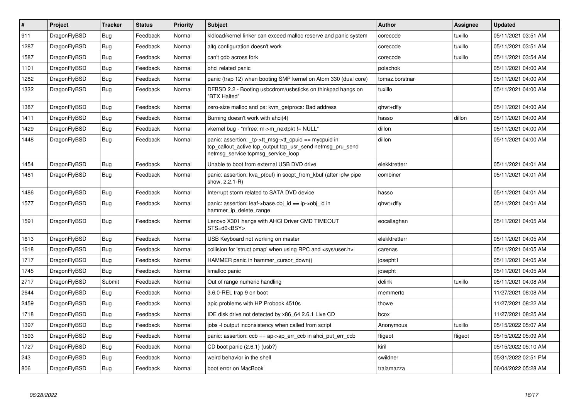| $\vert$ # | Project      | <b>Tracker</b> | <b>Status</b> | <b>Priority</b> | <b>Subject</b>                                                                                                                                            | <b>Author</b>  | Assignee | <b>Updated</b>      |
|-----------|--------------|----------------|---------------|-----------------|-----------------------------------------------------------------------------------------------------------------------------------------------------------|----------------|----------|---------------------|
| 911       | DragonFlyBSD | <b>Bug</b>     | Feedback      | Normal          | kldload/kernel linker can exceed malloc reserve and panic system                                                                                          | corecode       | tuxillo  | 05/11/2021 03:51 AM |
| 1287      | DragonFlyBSD | <b>Bug</b>     | Feedback      | Normal          | altg configuration doesn't work                                                                                                                           | corecode       | tuxillo  | 05/11/2021 03:51 AM |
| 1587      | DragonFlyBSD | <b>Bug</b>     | Feedback      | Normal          | can't gdb across fork                                                                                                                                     | corecode       | tuxillo  | 05/11/2021 03:54 AM |
| 1101      | DragonFlyBSD | Bug            | Feedback      | Normal          | ohci related panic                                                                                                                                        | polachok       |          | 05/11/2021 04:00 AM |
| 1282      | DragonFlyBSD | Bug            | Feedback      | Normal          | panic (trap 12) when booting SMP kernel on Atom 330 (dual core)                                                                                           | tomaz.borstnar |          | 05/11/2021 04:00 AM |
| 1332      | DragonFlyBSD | <b>Bug</b>     | Feedback      | Normal          | DFBSD 2.2 - Booting usbcdrom/usbsticks on thinkpad hangs on<br>"BTX Halted"                                                                               | tuxillo        |          | 05/11/2021 04:00 AM |
| 1387      | DragonFlyBSD | Bug            | Feedback      | Normal          | zero-size malloc and ps: kvm getprocs: Bad address                                                                                                        | qhwt+dfly      |          | 05/11/2021 04:00 AM |
| 1411      | DragonFlyBSD | <b>Bug</b>     | Feedback      | Normal          | Burning doesn't work with ahci(4)                                                                                                                         | hasso          | dillon   | 05/11/2021 04:00 AM |
| 1429      | DragonFlyBSD | Bug            | Feedback      | Normal          | vkernel bug - "mfree: m->m_nextpkt != NULL"                                                                                                               | dillon         |          | 05/11/2021 04:00 AM |
| 1448      | DragonFlyBSD | <b>Bug</b>     | Feedback      | Normal          | panic: assertion: _tp->tt_msg->tt_cpuid == mycpuid in<br>tcp_callout_active tcp_output tcp_usr_send netmsg_pru_send<br>netmsg service tcpmsg service loop | dillon         |          | 05/11/2021 04:00 AM |
| 1454      | DragonFlyBSD | <b>Bug</b>     | Feedback      | Normal          | Unable to boot from external USB DVD drive                                                                                                                | elekktretterr  |          | 05/11/2021 04:01 AM |
| 1481      | DragonFlyBSD | <b>Bug</b>     | Feedback      | Normal          | panic: assertion: kva p(buf) in soopt from kbuf (after ipfw pipe<br>show, 2.2.1-R)                                                                        | combiner       |          | 05/11/2021 04:01 AM |
| 1486      | DragonFlyBSD | <b>Bug</b>     | Feedback      | Normal          | Interrupt storm related to SATA DVD device                                                                                                                | hasso          |          | 05/11/2021 04:01 AM |
| 1577      | DragonFlyBSD | <b>Bug</b>     | Feedback      | Normal          | panic: assertion: leaf->base.obj id == ip->obj id in<br>hammer ip delete range                                                                            | qhwt+dfly      |          | 05/11/2021 04:01 AM |
| 1591      | DragonFlyBSD | Bug            | Feedback      | Normal          | Lenovo X301 hangs with AHCI Driver CMD TIMEOUT<br>STS=d0 <bsy></bsy>                                                                                      | eocallaghan    |          | 05/11/2021 04:05 AM |
| 1613      | DragonFlyBSD | <b>Bug</b>     | Feedback      | Normal          | USB Keyboard not working on master                                                                                                                        | elekktretterr  |          | 05/11/2021 04:05 AM |
| 1618      | DragonFlyBSD | Bug            | Feedback      | Normal          | collision for 'struct pmap' when using RPC and <sys user.h=""></sys>                                                                                      | carenas        |          | 05/11/2021 04:05 AM |
| 1717      | DragonFlyBSD | <b>Bug</b>     | Feedback      | Normal          | HAMMER panic in hammer cursor down()                                                                                                                      | josepht1       |          | 05/11/2021 04:05 AM |
| 1745      | DragonFlyBSD | Bug            | Feedback      | Normal          | kmalloc panic                                                                                                                                             | josepht        |          | 05/11/2021 04:05 AM |
| 2717      | DragonFlyBSD | Submit         | Feedback      | Normal          | Out of range numeric handling                                                                                                                             | dclink         | tuxillo  | 05/11/2021 04:08 AM |
| 2644      | DragonFlyBSD | <b>Bug</b>     | Feedback      | Normal          | 3.6.0-REL trap 9 on boot                                                                                                                                  | memmerto       |          | 11/27/2021 08:08 AM |
| 2459      | DragonFlyBSD | <b>Bug</b>     | Feedback      | Normal          | apic problems with HP Probook 4510s                                                                                                                       | thowe          |          | 11/27/2021 08:22 AM |
| 1718      | DragonFlyBSD | <b>Bug</b>     | Feedback      | Normal          | IDE disk drive not detected by x86 64 2.6.1 Live CD                                                                                                       | bcox           |          | 11/27/2021 08:25 AM |
| 1397      | DragonFlyBSD | <b>Bug</b>     | Feedback      | Normal          | jobs -I output inconsistency when called from script                                                                                                      | Anonymous      | tuxillo  | 05/15/2022 05:07 AM |
| 1593      | DragonFlyBSD | Bug            | Feedback      | Normal          | panic: assertion: $ccb == ap > ap$ err $ccb$ in ahci put err $ccb$                                                                                        | ftigeot        | ftigeot  | 05/15/2022 05:09 AM |
| 1727      | DragonFlyBSD | <b>Bug</b>     | Feedback      | Normal          | CD boot panic (2.6.1) (usb?)                                                                                                                              | kiril          |          | 05/15/2022 05:10 AM |
| 243       | DragonFlyBSD | Bug            | Feedback      | Normal          | weird behavior in the shell                                                                                                                               | swildner       |          | 05/31/2022 02:51 PM |
| 806       | DragonFlyBSD | <b>Bug</b>     | Feedback      | Normal          | boot error on MacBook                                                                                                                                     | tralamazza     |          | 06/04/2022 05:28 AM |